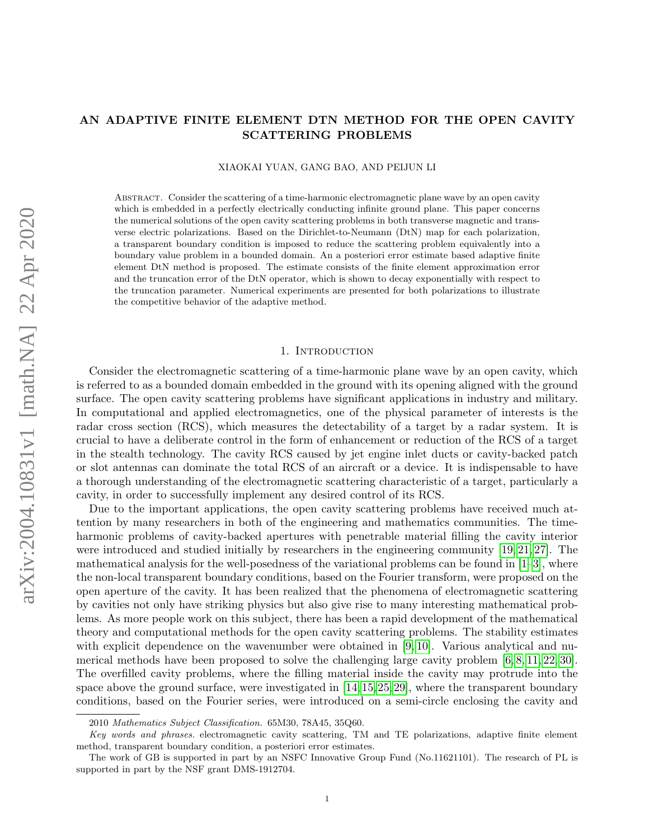# AN ADAPTIVE FINITE ELEMENT DTN METHOD FOR THE OPEN CAVITY SCATTERING PROBLEMS

### XIAOKAI YUAN, GANG BAO, AND PEIJUN LI

Abstract. Consider the scattering of a time-harmonic electromagnetic plane wave by an open cavity which is embedded in a perfectly electrically conducting infinite ground plane. This paper concerns the numerical solutions of the open cavity scattering problems in both transverse magnetic and transverse electric polarizations. Based on the Dirichlet-to-Neumann (DtN) map for each polarization, a transparent boundary condition is imposed to reduce the scattering problem equivalently into a boundary value problem in a bounded domain. An a posteriori error estimate based adaptive finite element DtN method is proposed. The estimate consists of the finite element approximation error and the truncation error of the DtN operator, which is shown to decay exponentially with respect to the truncation parameter. Numerical experiments are presented for both polarizations to illustrate the competitive behavior of the adaptive method.

## 1. INTRODUCTION

Consider the electromagnetic scattering of a time-harmonic plane wave by an open cavity, which is referred to as a bounded domain embedded in the ground with its opening aligned with the ground surface. The open cavity scattering problems have significant applications in industry and military. In computational and applied electromagnetics, one of the physical parameter of interests is the radar cross section (RCS), which measures the detectability of a target by a radar system. It is crucial to have a deliberate control in the form of enhancement or reduction of the RCS of a target in the stealth technology. The cavity RCS caused by jet engine inlet ducts or cavity-backed patch or slot antennas can dominate the total RCS of an aircraft or a device. It is indispensable to have a thorough understanding of the electromagnetic scattering characteristic of a target, particularly a cavity, in order to successfully implement any desired control of its RCS.

Due to the important applications, the open cavity scattering problems have received much attention by many researchers in both of the engineering and mathematics communities. The timeharmonic problems of cavity-backed apertures with penetrable material filling the cavity interior were introduced and studied initially by researchers in the engineering community [\[19,](#page-21-0) [21,](#page-21-1) [27\]](#page-22-0). The mathematical analysis for the well-posedness of the variational problems can be found in  $[1-3]$  $[1-3]$ , where the non-local transparent boundary conditions, based on the Fourier transform, were proposed on the open aperture of the cavity. It has been realized that the phenomena of electromagnetic scattering by cavities not only have striking physics but also give rise to many interesting mathematical problems. As more people work on this subject, there has been a rapid development of the mathematical theory and computational methods for the open cavity scattering problems. The stability estimates with explicit dependence on the wavenumber were obtained in [\[9,](#page-21-4) [10\]](#page-21-5). Various analytical and numerical methods have been proposed to solve the challenging large cavity problem [\[6,](#page-21-6) [8,](#page-21-7) [11,](#page-21-8) [22,](#page-21-9) [30\]](#page-22-1). The overfilled cavity problems, where the filling material inside the cavity may protrude into the space above the ground surface, were investigated in [\[14,](#page-21-10) [15,](#page-21-11) [25,](#page-22-2) [29\]](#page-22-3), where the transparent boundary conditions, based on the Fourier series, were introduced on a semi-circle enclosing the cavity and

<sup>2010</sup> Mathematics Subject Classification. 65M30, 78A45, 35Q60.

Key words and phrases. electromagnetic cavity scattering, TM and TE polarizations, adaptive finite element method, transparent boundary condition, a posteriori error estimates.

The work of GB is supported in part by an NSFC Innovative Group Fund (No.11621101). The research of PL is supported in part by the NSF grant DMS-1912704.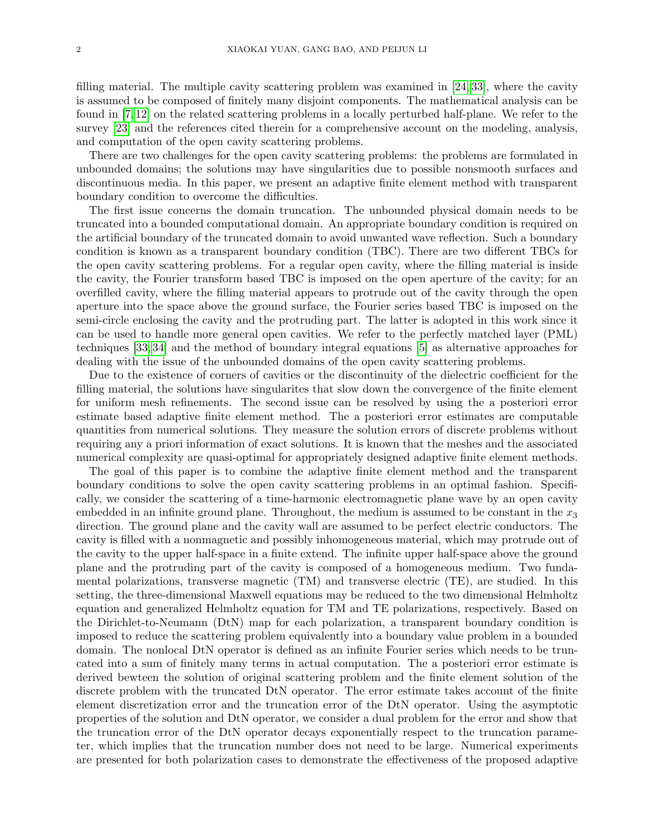filling material. The multiple cavity scattering problem was examined in [\[24,](#page-22-4) [33\]](#page-22-5), where the cavity is assumed to be composed of finitely many disjoint components. The mathematical analysis can be found in [\[7,](#page-21-12) [12\]](#page-21-13) on the related scattering problems in a locally perturbed half-plane. We refer to the survey [\[23\]](#page-22-6) and the references cited therein for a comprehensive account on the modeling, analysis, and computation of the open cavity scattering problems.

There are two challenges for the open cavity scattering problems: the problems are formulated in unbounded domains; the solutions may have singularities due to possible nonsmooth surfaces and discontinuous media. In this paper, we present an adaptive finite element method with transparent boundary condition to overcome the difficulties.

The first issue concerns the domain truncation. The unbounded physical domain needs to be truncated into a bounded computational domain. An appropriate boundary condition is required on the artificial boundary of the truncated domain to avoid unwanted wave reflection. Such a boundary condition is known as a transparent boundary condition (TBC). There are two different TBCs for the open cavity scattering problems. For a regular open cavity, where the filling material is inside the cavity, the Fourier transform based TBC is imposed on the open aperture of the cavity; for an overfilled cavity, where the filling material appears to protrude out of the cavity through the open aperture into the space above the ground surface, the Fourier series based TBC is imposed on the semi-circle enclosing the cavity and the protruding part. The latter is adopted in this work since it can be used to handle more general open cavities. We refer to the perfectly matched layer (PML) techniques [\[33,](#page-22-5) [34\]](#page-22-7) and the method of boundary integral equations [\[5\]](#page-21-14) as alternative approaches for dealing with the issue of the unbounded domains of the open cavity scattering problems.

Due to the existence of corners of cavities or the discontinuity of the dielectric coefficient for the filling material, the solutions have singularites that slow down the convergence of the finite element for uniform mesh refinements. The second issue can be resolved by using the a posteriori error estimate based adaptive finite element method. The a posteriori error estimates are computable quantities from numerical solutions. They measure the solution errors of discrete problems without requiring any a priori information of exact solutions. It is known that the meshes and the associated numerical complexity are quasi-optimal for appropriately designed adaptive finite element methods.

The goal of this paper is to combine the adaptive finite element method and the transparent boundary conditions to solve the open cavity scattering problems in an optimal fashion. Specifically, we consider the scattering of a time-harmonic electromagnetic plane wave by an open cavity embedded in an infinite ground plane. Throughout, the medium is assumed to be constant in the  $x_3$ direction. The ground plane and the cavity wall are assumed to be perfect electric conductors. The cavity is filled with a nonmagnetic and possibly inhomogeneous material, which may protrude out of the cavity to the upper half-space in a finite extend. The infinite upper half-space above the ground plane and the protruding part of the cavity is composed of a homogeneous medium. Two fundamental polarizations, transverse magnetic (TM) and transverse electric (TE), are studied. In this setting, the three-dimensional Maxwell equations may be reduced to the two dimensional Helmholtz equation and generalized Helmholtz equation for TM and TE polarizations, respectively. Based on the Dirichlet-to-Neumann (DtN) map for each polarization, a transparent boundary condition is imposed to reduce the scattering problem equivalently into a boundary value problem in a bounded domain. The nonlocal DtN operator is defined as an infinite Fourier series which needs to be truncated into a sum of finitely many terms in actual computation. The a posteriori error estimate is derived bewteen the solution of original scattering problem and the finite element solution of the discrete problem with the truncated DtN operator. The error estimate takes account of the finite element discretization error and the truncation error of the DtN operator. Using the asymptotic properties of the solution and DtN operator, we consider a dual problem for the error and show that the truncation error of the DtN operator decays exponentially respect to the truncation parameter, which implies that the truncation number does not need to be large. Numerical experiments are presented for both polarization cases to demonstrate the effectiveness of the proposed adaptive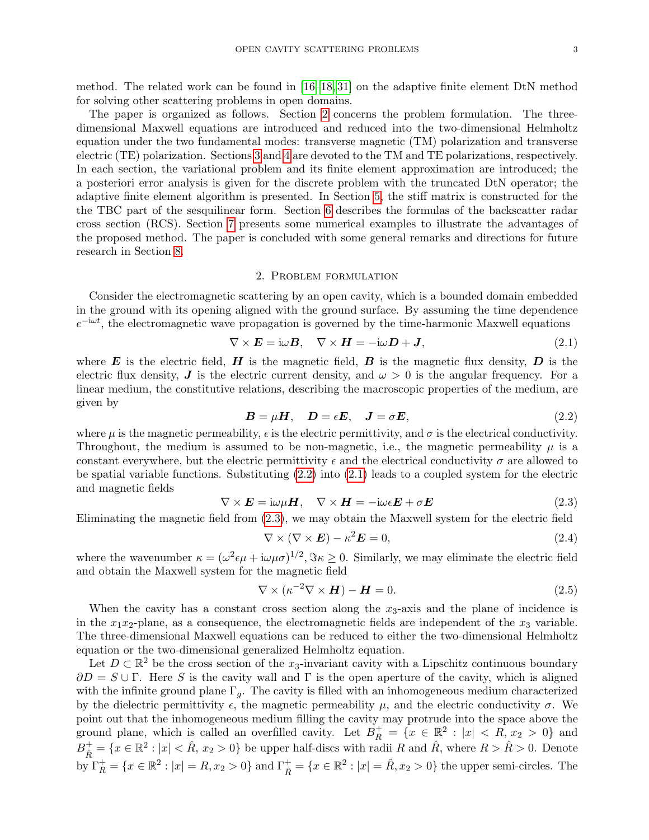method. The related work can be found in [\[16–](#page-21-15)[18,](#page-21-16) [31\]](#page-22-8) on the adaptive finite element DtN method for solving other scattering problems in open domains.

The paper is organized as follows. Section [2](#page-2-0) concerns the problem formulation. The threedimensional Maxwell equations are introduced and reduced into the two-dimensional Helmholtz equation under the two fundamental modes: transverse magnetic (TM) polarization and transverse electric (TE) polarization. Sections [3](#page-3-0) and [4](#page-10-0) are devoted to the TM and TE polarizations, respectively. In each section, the variational problem and its finite element approximation are introduced; the a posteriori error analysis is given for the discrete problem with the truncated DtN operator; the adaptive finite element algorithm is presented. In Section [5,](#page-12-0) the stiff matrix is constructed for the the TBC part of the sesquilinear form. Section [6](#page-14-0) describes the formulas of the backscatter radar cross section (RCS). Section [7](#page-16-0) presents some numerical examples to illustrate the advantages of the proposed method. The paper is concluded with some general remarks and directions for future research in Section [8.](#page-21-17)

## 2. Problem formulation

<span id="page-2-0"></span>Consider the electromagnetic scattering by an open cavity, which is a bounded domain embedded in the ground with its opening aligned with the ground surface. By assuming the time dependence  $e^{-i\omega t}$ , the electromagnetic wave propagation is governed by the time-harmonic Maxwell equations

<span id="page-2-2"></span>
$$
\nabla \times \boldsymbol{E} = \mathrm{i}\omega \boldsymbol{B}, \quad \nabla \times \boldsymbol{H} = -\mathrm{i}\omega \boldsymbol{D} + \boldsymbol{J}, \tag{2.1}
$$

where  $\bm{E}$  is the electric field,  $\bm{H}$  is the magnetic field,  $\bm{B}$  is the magnetic flux density,  $\bm{D}$  is the electric flux density, J is the electric current density, and  $\omega > 0$  is the angular frequency. For a linear medium, the constitutive relations, describing the macroscopic properties of the medium, are given by

<span id="page-2-1"></span>
$$
B = \mu H, \quad D = \epsilon E, \quad J = \sigma E,
$$
\n
$$
(2.2)
$$

where  $\mu$  is the magnetic permeability,  $\epsilon$  is the electric permittivity, and  $\sigma$  is the electrical conductivity. Throughout, the medium is assumed to be non-magnetic, i.e., the magnetic permeability  $\mu$  is a constant everywhere, but the electric permittivity  $\epsilon$  and the electrical conductivity  $\sigma$  are allowed to be spatial variable functions. Substituting [\(2.2\)](#page-2-1) into [\(2.1\)](#page-2-2) leads to a coupled system for the electric and magnetic fields

<span id="page-2-3"></span>
$$
\nabla \times \mathbf{E} = i\omega\mu \mathbf{H}, \quad \nabla \times \mathbf{H} = -i\omega\epsilon \mathbf{E} + \sigma \mathbf{E}
$$
\n(2.3)

Eliminating the magnetic field from [\(2.3\)](#page-2-3), we may obtain the Maxwell system for the electric field

<span id="page-2-4"></span>
$$
\nabla \times (\nabla \times \boldsymbol{E}) - \kappa^2 \boldsymbol{E} = 0, \qquad (2.4)
$$

where the wavenumber  $\kappa = (\omega^2 \epsilon \mu + i \omega \mu \sigma)^{1/2}$ ,  $\Im \kappa \ge 0$ . Similarly, we may eliminate the electric field and obtain the Maxwell system for the magnetic field

<span id="page-2-5"></span>
$$
\nabla \times (\kappa^{-2} \nabla \times \boldsymbol{H}) - \boldsymbol{H} = 0. \tag{2.5}
$$

When the cavity has a constant cross section along the  $x_3$ -axis and the plane of incidence is in the  $x_1x_2$ -plane, as a consequence, the electromagnetic fields are independent of the  $x_3$  variable. The three-dimensional Maxwell equations can be reduced to either the two-dimensional Helmholtz equation or the two-dimensional generalized Helmholtz equation.

Let  $D \subset \mathbb{R}^2$  be the cross section of the x<sub>3</sub>-invariant cavity with a Lipschitz continuous boundary  $\partial D = S \cup \Gamma$ . Here S is the cavity wall and  $\Gamma$  is the open aperture of the cavity, which is aligned with the infinite ground plane  $\Gamma_q$ . The cavity is filled with an inhomogeneous medium characterized by the dielectric permittivity  $\epsilon$ , the magnetic permeability  $\mu$ , and the electric conductivity  $\sigma$ . We point out that the inhomogeneous medium filling the cavity may protrude into the space above the ground plane, which is called an overfilled cavity. Let  $B_R^+ = \{x \in \mathbb{R}^2 : |x| < R, x_2 > 0\}$  and  $B_{\hat{R}}^+ = \{x \in \mathbb{R}^2 : |x| < \hat{R}, x_2 > 0\}$  be upper half-discs with radii R and  $\hat{R}$ , where  $R > \hat{R} > 0$ . Denote by  $\Gamma_R^+ = \{x \in \mathbb{R}^2 : |x| = R, x_2 > 0\}$  and  $\Gamma_{\hat{R}}^+ = \{x \in \mathbb{R}^2 : |x| = \hat{R}, x_2 > 0\}$  the upper semi-circles. The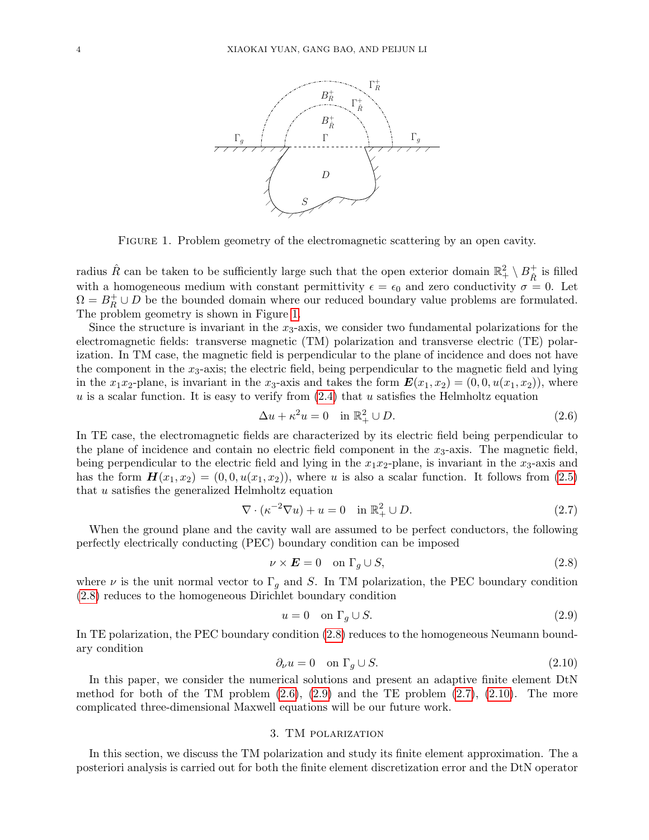

<span id="page-3-1"></span>Figure 1. Problem geometry of the electromagnetic scattering by an open cavity.

radius  $\hat{R}$  can be taken to be sufficiently large such that the open exterior domain  $\mathbb{R}^2_+ \setminus B^+_{\hat{R}}$  $\hat{\hat{R}}$  is filled with a homogeneous medium with constant permittivity  $\epsilon = \epsilon_0$  and zero conductivity  $\sigma = 0$ . Let  $\Omega = B_R^+ \cup D$  be the bounded domain where our reduced boundary value problems are formulated. The problem geometry is shown in Figure [1.](#page-3-1)

Since the structure is invariant in the  $x_3$ -axis, we consider two fundamental polarizations for the electromagnetic fields: transverse magnetic (TM) polarization and transverse electric (TE) polarization. In TM case, the magnetic field is perpendicular to the plane of incidence and does not have the component in the  $x_3$ -axis; the electric field, being perpendicular to the magnetic field and lying in the  $x_1x_2$ -plane, is invariant in the  $x_3$ -axis and takes the form  $\mathbf{E}(x_1, x_2) = (0, 0, u(x_1, x_2))$ , where  $u$  is a scalar function. It is easy to verify from  $(2.4)$  that u satisfies the Helmholtz equation

<span id="page-3-3"></span>
$$
\Delta u + \kappa^2 u = 0 \quad \text{in } \mathbb{R}_+^2 \cup D. \tag{2.6}
$$

In TE case, the electromagnetic fields are characterized by its electric field being perpendicular to the plane of incidence and contain no electric field component in the  $x_3$ -axis. The magnetic field, being perpendicular to the electric field and lying in the  $x_1x_2$ -plane, is invariant in the  $x_3$ -axis and has the form  $H(x_1, x_2) = (0, 0, u(x_1, x_2))$ , where u is also a scalar function. It follows from [\(2.5\)](#page-2-5) that  $u$  satisfies the generalized Helmholtz equation

<span id="page-3-5"></span>
$$
\nabla \cdot (\kappa^{-2} \nabla u) + u = 0 \quad \text{in } \mathbb{R}^2_+ \cup D. \tag{2.7}
$$

When the ground plane and the cavity wall are assumed to be perfect conductors, the following perfectly electrically conducting (PEC) boundary condition can be imposed

<span id="page-3-2"></span>
$$
\nu \times \boldsymbol{E} = 0 \quad \text{on } \Gamma_g \cup S,\tag{2.8}
$$

where  $\nu$  is the unit normal vector to  $\Gamma_g$  and S. In TM polarization, the PEC boundary condition [\(2.8\)](#page-3-2) reduces to the homogeneous Dirichlet boundary condition

<span id="page-3-4"></span>
$$
u = 0 \quad \text{on } \Gamma_g \cup S. \tag{2.9}
$$

In TE polarization, the PEC boundary condition [\(2.8\)](#page-3-2) reduces to the homogeneous Neumann boundary condition

<span id="page-3-6"></span>
$$
\partial_{\nu}u = 0 \quad \text{on } \Gamma_g \cup S. \tag{2.10}
$$

In this paper, we consider the numerical solutions and present an adaptive finite element DtN method for both of the TM problem  $(2.6)$ ,  $(2.9)$  and the TE problem  $(2.7)$ ,  $(2.10)$ . The more complicated three-dimensional Maxwell equations will be our future work.

# 3. TM polarization

<span id="page-3-0"></span>In this section, we discuss the TM polarization and study its finite element approximation. The a posteriori analysis is carried out for both the finite element discretization error and the DtN operator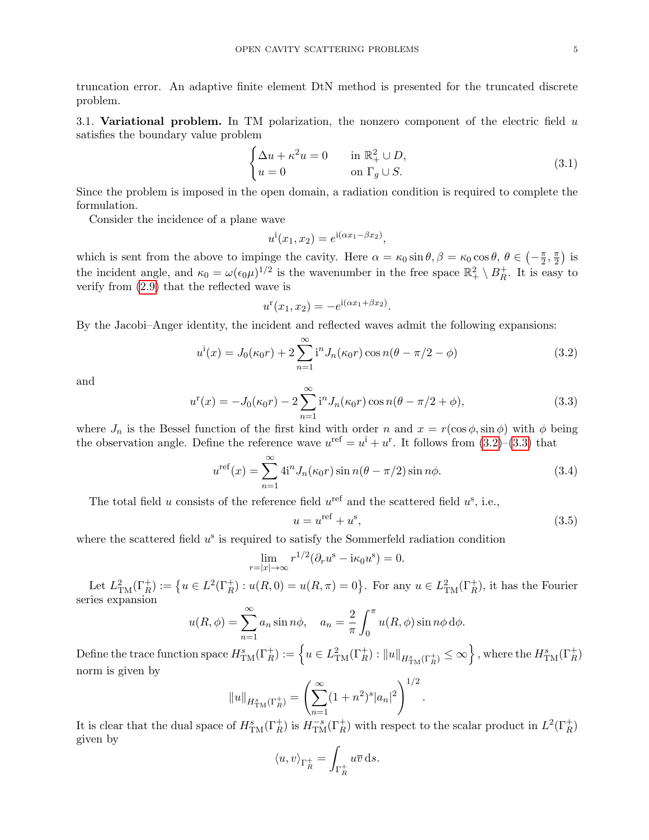truncation error. An adaptive finite element DtN method is presented for the truncated discrete problem.

3.1. Variational problem. In TM polarization, the nonzero component of the electric field  $u$ satisfies the boundary value problem

<span id="page-4-3"></span>
$$
\begin{cases} \Delta u + \kappa^2 u = 0 & \text{in } \mathbb{R}_+^2 \cup D, \\ u = 0 & \text{on } \Gamma_g \cup S. \end{cases}
$$
 (3.1)

Since the problem is imposed in the open domain, a radiation condition is required to complete the formulation.

Consider the incidence of a plane wave

$$
u^{i}(x_1, x_2) = e^{i(\alpha x_1 - \beta x_2)},
$$

which is sent from the above to impinge the cavity. Here  $\alpha = \kappa_0 \sin \theta, \beta = \kappa_0 \cos \theta, \theta \in \left(-\frac{\pi}{2}\right)$  $\frac{\pi}{2}$ ,  $\frac{\pi}{2}$  $\frac{\pi}{2}$ ) is the incident angle, and  $\kappa_0 = \omega(\epsilon_0 \mu)^{1/2}$  is the wavenumber in the free space  $\mathbb{R}^2_+ \setminus B_R^+$  $_R^+$ . It is easy to verify from [\(2.9\)](#page-3-4) that the reflected wave is

$$
u^{r}(x_1, x_2) = -e^{i(\alpha x_1 + \beta x_2)}.
$$

By the Jacobi–Anger identity, the incident and reflected waves admit the following expansions:

<span id="page-4-0"></span>
$$
u^{i}(x) = J_{0}(\kappa_{0}r) + 2\sum_{n=1}^{\infty} i^{n} J_{n}(\kappa_{0}r) \cos n(\theta - \pi/2 - \phi)
$$
\n(3.2)

and

<span id="page-4-1"></span>
$$
u^{r}(x) = -J_{0}(\kappa_{0}r) - 2\sum_{n=1}^{\infty} i^{n} J_{n}(\kappa_{0}r) \cos n(\theta - \pi/2 + \phi), \qquad (3.3)
$$

where  $J_n$  is the Bessel function of the first kind with order n and  $x = r(\cos \phi, \sin \phi)$  with  $\phi$  being the observation angle. Define the reference wave  $u^{\text{ref}} = u^{\text{i}} + u^{\text{r}}$ . It follows from  $(3.2)$ – $(3.3)$  that

<span id="page-4-2"></span>
$$
u^{\text{ref}}(x) = \sum_{n=1}^{\infty} 4i^n J_n(\kappa_0 r) \sin n(\theta - \pi/2) \sin n\phi.
$$
 (3.4)

The total field u consists of the reference field  $u^{\text{ref}}$  and the scattered field  $u^{\text{s}}$ , i.e.,

<span id="page-4-4"></span>
$$
u = u^{\text{ref}} + u^{\text{s}},\tag{3.5}
$$

where the scattered field  $u^s$  is required to satisfy the Sommerfeld radiation condition

$$
\lim_{r=|x|\to\infty} r^{1/2} (\partial_r u^s - i\kappa_0 u^s) = 0.
$$

Let  $L^2_{\text{TM}}(\Gamma_R^+) := \{ u \in L^2(\Gamma_R^+) : u(R,0) = u(R,\pi) = 0 \}.$  For any  $u \in L^2_{\text{TM}}(\Gamma_R^+)$ , it has the Fourier series expansion

$$
u(R,\phi) = \sum_{n=1}^{\infty} a_n \sin n\phi, \quad a_n = \frac{2}{\pi} \int_0^{\pi} u(R,\phi) \sin n\phi \,d\phi.
$$

 $\text{Define the trace function space } H_{\text{TM}}^s(\Gamma_R^+):= \left\{u\in L^2_{\text{TM}}(\Gamma_R^+): \|u\|_{H_{\text{TM}}^s(\Gamma_R^+)}\leq \infty \right\}, \text{ where the } H_{\text{TM}}^s(\Gamma_R^+)$ norm is given by

$$
||u||_{H_{\rm TM}^s(\Gamma_R^+)} = \left(\sum_{n=1}^{\infty} (1+n^2)^s |a_n|^2\right)^{1/2}.
$$

It is clear that the dual space of  $H_{\text{TM}}^s(\Gamma_R^+)$  is  $H_{\text{TM}}^{-s}(\Gamma_R^+)$  with respect to the scalar product in  $L^2(\Gamma_R^+)$ given by

$$
\langle u, v \rangle_{\Gamma_R^+} = \int_{\Gamma_R^+} u \overline{v} \, \mathrm{d} s.
$$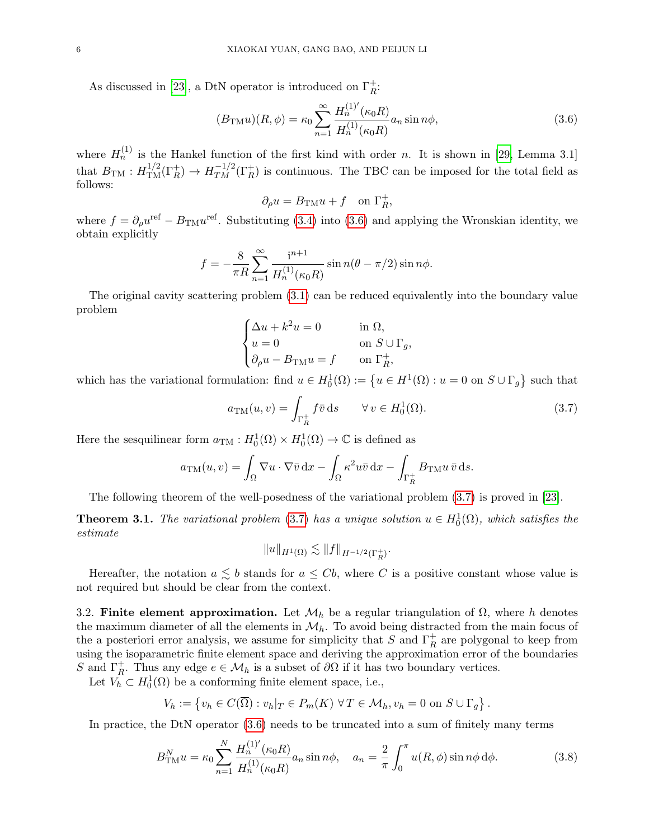As discussed in [\[23\]](#page-22-6), a DtN operator is introduced on  $\Gamma_R^+$ :

<span id="page-5-0"></span>
$$
(B_{\text{TM}}u)(R,\phi) = \kappa_0 \sum_{n=1}^{\infty} \frac{H_n^{(1)'}(\kappa_0 R)}{H_n^{(1)}(\kappa_0 R)} a_n \sin n\phi,
$$
\n(3.6)

,

where  $H_n^{(1)}$  is the Hankel function of the first kind with order n. It is shown in [\[29,](#page-22-3) Lemma 3.1] that  $B_{TM}: H^{1/2}_{TM}(\Gamma_R^+) \to H^{-1/2}_{TM}(\Gamma_R^+)$  is continuous. The TBC can be imposed for the total field as follows:

$$
\partial_\rho u = B_{\mathrm{TM}} u + f \quad \text{on } \Gamma_R^+
$$

where  $f = \partial_{\rho}u^{\text{ref}} - B_{\text{TM}}u^{\text{ref}}$ . Substituting [\(3.4\)](#page-4-2) into [\(3.6\)](#page-5-0) and applying the Wronskian identity, we obtain explicitly

$$
f = -\frac{8}{\pi R} \sum_{n=1}^{\infty} \frac{i^{n+1}}{H_n^{(1)}(\kappa_0 R)} \sin n(\theta - \pi/2) \sin n\phi.
$$

The original cavity scattering problem [\(3.1\)](#page-4-3) can be reduced equivalently into the boundary value problem

$$
\begin{cases} \Delta u + k^2 u = 0 & \text{in } \Omega, \\ u = 0 & \text{on } S \cup \Gamma_g, \\ \partial_\rho u - B_{\text{TM}} u = f & \text{on } \Gamma_R^+, \end{cases}
$$

which has the variational formulation: find  $u \in H_0^1(\Omega) := \{u \in H^1(\Omega) : u = 0 \text{ on } S \cup \Gamma_g\}$  such that

<span id="page-5-1"></span>
$$
a_{\text{TM}}(u,v) = \int_{\Gamma_R^+} f\bar{v} \,ds \qquad \forall \, v \in H_0^1(\Omega). \tag{3.7}
$$

Here the sesquilinear form  $a_{\text{TM}}: H_0^1(\Omega) \times H_0^1(\Omega) \to \mathbb{C}$  is defined as

$$
a_{\text{TM}}(u,v) = \int_{\Omega} \nabla u \cdot \nabla \bar{v} \,dx - \int_{\Omega} \kappa^2 u \bar{v} \,dx - \int_{\Gamma_R^+} B_{\text{TM}} u \,\bar{v} \,ds.
$$

The following theorem of the well-posedness of the variational problem [\(3.7\)](#page-5-1) is proved in [\[23\]](#page-22-6).

**Theorem 3.1.** The variational problem [\(3.7\)](#page-5-1) has a unique solution  $u \in H_0^1(\Omega)$ , which satisfies the estimate

$$
||u||_{H^1(\Omega)} \lesssim ||f||_{H^{-1/2}(\Gamma_R^+)}.
$$

Hereafter, the notation  $a \leq b$  stands for  $a \leq Cb$ , where C is a positive constant whose value is not required but should be clear from the context.

3.2. Finite element approximation. Let  $\mathcal{M}_h$  be a regular triangulation of  $\Omega$ , where h denotes the maximum diameter of all the elements in  $\mathcal{M}_h$ . To avoid being distracted from the main focus of the a posteriori error analysis, we assume for simplicity that S and  $\Gamma_R^+$  are polygonal to keep from using the isoparametric finite element space and deriving the approximation error of the boundaries S and  $\Gamma_R^+$ . Thus any edge  $e \in \mathcal{M}_h$  is a subset of  $\partial \Omega$  if it has two boundary vertices.

Let  $V_h \subset H_0^1(\Omega)$  be a conforming finite element space, i.e.,

$$
V_h := \{ v_h \in C(\overline{\Omega}) : v_h|_T \in P_m(K) \,\,\forall \, T \in \mathcal{M}_h, v_h = 0 \text{ on } S \cup \Gamma_g \}.
$$

In practice, the DtN operator [\(3.6\)](#page-5-0) needs to be truncated into a sum of finitely many terms

<span id="page-5-2"></span>
$$
B_{\text{TM}}^N u = \kappa_0 \sum_{n=1}^N \frac{H_n^{(1)'}(\kappa_0 R)}{H_n^{(1)}(\kappa_0 R)} a_n \sin n\phi, \quad a_n = \frac{2}{\pi} \int_0^\pi u(R, \phi) \sin n\phi \,d\phi.
$$
 (3.8)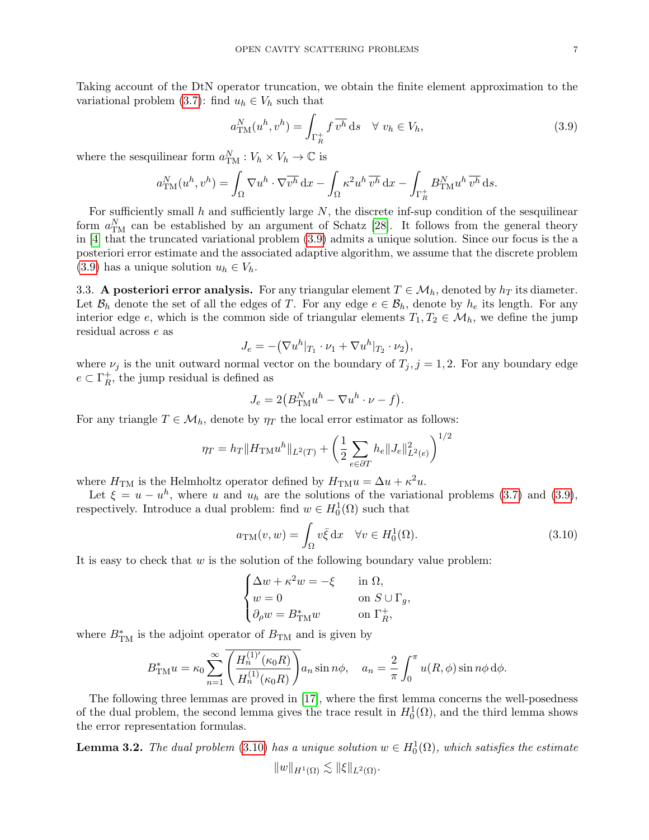Taking account of the DtN operator truncation, we obtain the finite element approximation to the variational problem [\(3.7\)](#page-5-1): find  $u_h \in V_h$  such that

<span id="page-6-0"></span>
$$
a_{\text{TM}}^N(u^h, v^h) = \int_{\Gamma_R^+} f \, \overline{v^h} \, \mathrm{d}s \quad \forall \ v_h \in V_h,\tag{3.9}
$$

where the sesquilinear form  $a_{\text{TM}}^N : V_h \times V_h \to \mathbb{C}$  is

$$
a_{\rm TM}^N(u^h,v^h)=\int_{\Omega}\nabla u^h\cdot\nabla\overline{v^h}\,\mathrm{d} x-\int_{\Omega}\kappa^2 u^h\,\overline{v^h}\,\mathrm{d} x-\int_{\Gamma_R^+}B_{\rm TM}^N u^h\,\overline{v^h}\,\mathrm{d} s.
$$

For sufficiently small h and sufficiently large  $N$ , the discrete inf-sup condition of the sesquilinear form  $a_{\text{TM}}^N$  can be established by an argument of Schatz [\[28\]](#page-22-9). It follows from the general theory in [\[4\]](#page-21-18) that the truncated variational problem [\(3.9\)](#page-6-0) admits a unique solution. Since our focus is the a posteriori error estimate and the associated adaptive algorithm, we assume that the discrete problem [\(3.9\)](#page-6-0) has a unique solution  $u_h \in V_h$ .

3.3. A posteriori error analysis. For any triangular element  $T \in \mathcal{M}_h$ , denoted by  $h_T$  its diameter. Let  $\mathcal{B}_h$  denote the set of all the edges of T. For any edge  $e \in \mathcal{B}_h$ , denote by  $h_e$  its length. For any interior edge e, which is the common side of triangular elements  $T_1, T_2 \in \mathcal{M}_h$ , we define the jump residual across e as

$$
J_e = -(\nabla u^h|_{T_1} \cdot \nu_1 + \nabla u^h|_{T_2} \cdot \nu_2),
$$

where  $\nu_j$  is the unit outward normal vector on the boundary of  $T_j$ ,  $j = 1, 2$ . For any boundary edge  $e \subset \Gamma_R^+$  $R<sub>R</sub>$ , the jump residual is defined as

$$
J_e = 2(B_{\text{TM}}^N u^h - \nabla u^h \cdot \nu - f).
$$

For any triangle  $T \in \mathcal{M}_h$ , denote by  $\eta_T$  the local error estimator as follows:

$$
\eta_T = h_T \|H_{\text{TM}} u^h\|_{L^2(T)} + \left(\frac{1}{2} \sum_{e \in \partial T} h_e \|J_e\|_{L^2(e)}^2\right)^{1/2}
$$

where  $H_{\text{TM}}$  is the Helmholtz operator defined by  $H_{\text{TM}} u = \Delta u + \kappa^2 u$ .

Let  $\xi = u - u^h$ , where u and  $u_h$  are the solutions of the variational problems [\(3.7\)](#page-5-1) and [\(3.9\)](#page-6-0), respectively. Introduce a dual problem: find  $w \in H_0^1(\Omega)$  such that

<span id="page-6-1"></span>
$$
a_{\rm TM}(v, w) = \int_{\Omega} v \bar{\xi} \, dx \quad \forall v \in H_0^1(\Omega). \tag{3.10}
$$

It is easy to check that  $w$  is the solution of the following boundary value problem:

$$
\begin{cases} \Delta w + \kappa^2 w = -\xi & \text{in } \Omega, \\ w = 0 & \text{on } S \cup \Gamma_g, \\ \partial_\rho w = B_{\mathrm{TM}}^* w & \text{on } \Gamma_R^+, \end{cases}
$$

where  $B_{\text{TM}}^*$  is the adjoint operator of  $B_{\text{TM}}$  and is given by

$$
B_{\text{TM}}^*u = \kappa_0 \sum_{n=1}^{\infty} \overline{\left(\frac{H_n^{(1)'}(\kappa_0 R)}{H_n^{(1)}(\kappa_0 R)}\right)} a_n \sin n\phi, \quad a_n = \frac{2}{\pi} \int_0^{\pi} u(R, \phi) \sin n\phi \,d\phi.
$$

The following three lemmas are proved in [\[17\]](#page-21-19), where the first lemma concerns the well-posedness of the dual problem, the second lemma gives the trace result in  $H_0^1(\Omega)$ , and the third lemma shows the error representation formulas.

**Lemma 3.2.** The dual problem [\(3.10\)](#page-6-1) has a unique solution  $w \in H_0^1(\Omega)$ , which satisfies the estimate

$$
||w||_{H^1(\Omega)} \lesssim ||\xi||_{L^2(\Omega)}.
$$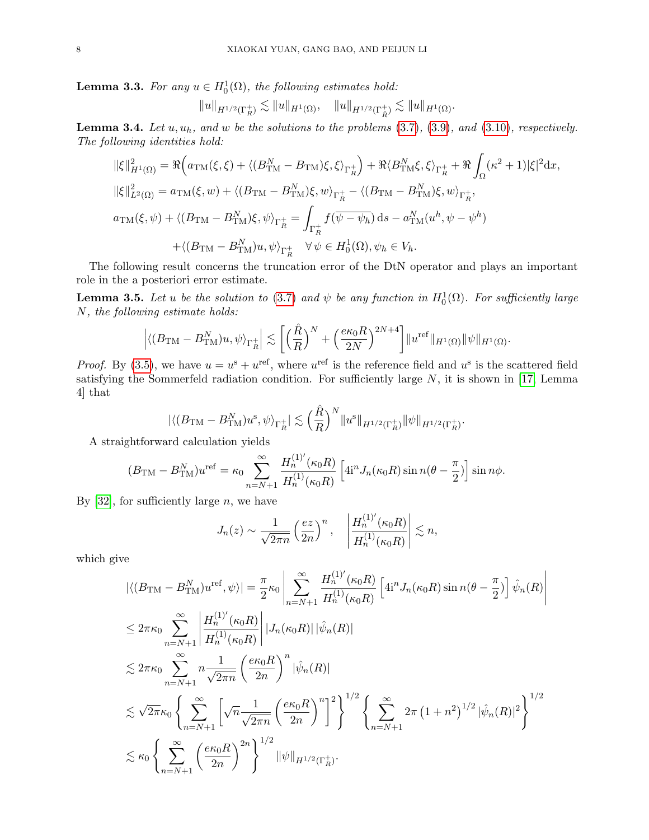**Lemma 3.3.** For any  $u \in H_0^1(\Omega)$ , the following estimates hold:

$$
\|u\|_{H^{1/2}(\Gamma_R^+)} \lesssim \|u\|_{H^1(\Omega)}, \quad \|u\|_{H^{1/2}(\Gamma_R^+)} \lesssim \|u\|_{H^1(\Omega)}.
$$

**Lemma 3.4.** Let  $u, u_h$ , and  $w$  be the solutions to the problems  $(3.7), (3.9)$  $(3.7), (3.9)$  $(3.7), (3.9)$ , and  $(3.10)$ , respectively. The following identities hold:

$$
\|\xi\|_{H^{1}(\Omega)}^{2} = \Re \Big(a_{TM}(\xi,\xi) + \langle (B_{TM}^{N} - B_{TM})\xi, \xi \rangle_{\Gamma_{R}^{+}}\Big) + \Re \langle B_{TM}^{N}\xi, \xi \rangle_{\Gamma_{R}^{+}} + \Re \int_{\Omega} (\kappa^{2} + 1)|\xi|^{2} dx,
$$
  

$$
\|\xi\|_{L^{2}(\Omega)}^{2} = a_{TM}(\xi,w) + \langle (B_{TM} - B_{TM}^{N})\xi, w \rangle_{\Gamma_{R}^{+}} - \langle (B_{TM} - B_{TM}^{N})\xi, w \rangle_{\Gamma_{R}^{+}},
$$
  

$$
a_{TM}(\xi,\psi) + \langle (B_{TM} - B_{TM}^{N})\xi, \psi \rangle_{\Gamma_{R}^{+}} = \int_{\Gamma_{R}^{+}} f(\overline{\psi - \psi_{h}}) ds - a_{TM}^{N}(u^{h}, \psi - \psi^{h})
$$
  

$$
+ \langle (B_{TM} - B_{TM}^{N})u, \psi \rangle_{\Gamma_{R}^{+}} \quad \forall \psi \in H_{0}^{1}(\Omega), \psi_{h} \in V_{h}.
$$

The following result concerns the truncation error of the DtN operator and plays an important role in the a posteriori error estimate.

<span id="page-7-0"></span>**Lemma 3.5.** Let u be the solution to [\(3.7\)](#page-5-1) and  $\psi$  be any function in  $H_0^1(\Omega)$ . For sufficiently large N, the following estimate holds:

$$
\left| \langle (B_{\mathrm{TM}} - B_{\mathrm{TM}}^N)u, \psi \rangle_{\Gamma_R^+} \right| \lesssim \left[ \Big( \frac{\hat{R}}{R} \Big)^N + \Big( \frac{e \kappa_0 R}{2N} \Big)^{2N+4} \right] \| u^{\mathrm{ref}} \|_{H^1(\Omega)} \| \psi \|_{H^1(\Omega)}.
$$

*Proof.* By [\(3.5\)](#page-4-4), we have  $u = u^s + u^{\text{ref}}$ , where  $u^{\text{ref}}$  is the reference field and  $u^s$  is the scattered field satisfying the Sommerfeld radiation condition. For sufficiently large  $N$ , it is shown in [\[17,](#page-21-19) Lemma 4] that

$$
|\langle (B_{\mathrm{TM}} - B_{\mathrm{TM}}^N)u^{\mathrm{s}}, \psi \rangle_{\Gamma_R^+}| \lesssim \Big(\frac{\hat{R}}{R}\Big)^N \|u^{\mathrm{s}}\|_{H^{1/2}(\Gamma_R^+)} \|\psi\|_{H^{1/2}(\Gamma_R^+)}.
$$

A straightforward calculation yields

$$
(B_{\text{TM}} - B_{\text{TM}}^N)u^{\text{ref}} = \kappa_0 \sum_{n=N+1}^{\infty} \frac{H_n^{(1)'}(\kappa_0 R)}{H_n^{(1)}(\kappa_0 R)} \left[4i^n J_n(\kappa_0 R) \sin n(\theta - \frac{\pi}{2})\right] \sin n\phi.
$$

By  $[32]$ , for sufficiently large *n*, we have

$$
J_n(z) \sim \frac{1}{\sqrt{2\pi n}} \left(\frac{ez}{2n}\right)^n
$$
,  $\left|\frac{H_n^{(1)'}(\kappa_0 R)}{H_n^{(1)}(\kappa_0 R)}\right| \lesssim n$ ,

which give

$$
\begin{split}\n&|\langle (B_{\text{TM}} - B_{\text{TM}}^{N})u^{\text{ref}}, \psi \rangle| = \frac{\pi}{2} \kappa_0 \left| \sum_{n=N+1}^{\infty} \frac{H_n^{(1)'}(\kappa_0 R)}{H_n^{(1)}(\kappa_0 R)} \left[ 4i^n J_n(\kappa_0 R) \sin n(\theta - \frac{\pi}{2}) \right] \hat{\psi}_n(R) \right| \\
&\leq 2\pi \kappa_0 \sum_{n=N+1}^{\infty} \left| \frac{H_n^{(1)'}(\kappa_0 R)}{H_n^{(1)}(\kappa_0 R)} \right| |J_n(\kappa_0 R)| |\hat{\psi}_n(R)| \\
&\lesssim 2\pi \kappa_0 \sum_{n=N+1}^{\infty} n \frac{1}{\sqrt{2\pi n}} \left( \frac{e\kappa_0 R}{2n} \right)^n |\hat{\psi}_n(R)| \\
&\lesssim \sqrt{2\pi} \kappa_0 \left\{ \sum_{n=N+1}^{\infty} \left[ \sqrt{n} \frac{1}{\sqrt{2\pi n}} \left( \frac{e\kappa_0 R}{2n} \right)^n \right]^2 \right\}^{1/2} \left\{ \sum_{n=N+1}^{\infty} 2\pi \left( 1 + n^2 \right)^{1/2} |\hat{\psi}_n(R)|^2 \right\}^{1/2} \\
&\lesssim \kappa_0 \left\{ \sum_{n=N+1}^{\infty} \left( \frac{e\kappa_0 R}{2n} \right)^{2n} \right\}^{1/2} ||\psi||_{H^{1/2}(\Gamma_R^+)}.\n\end{split}
$$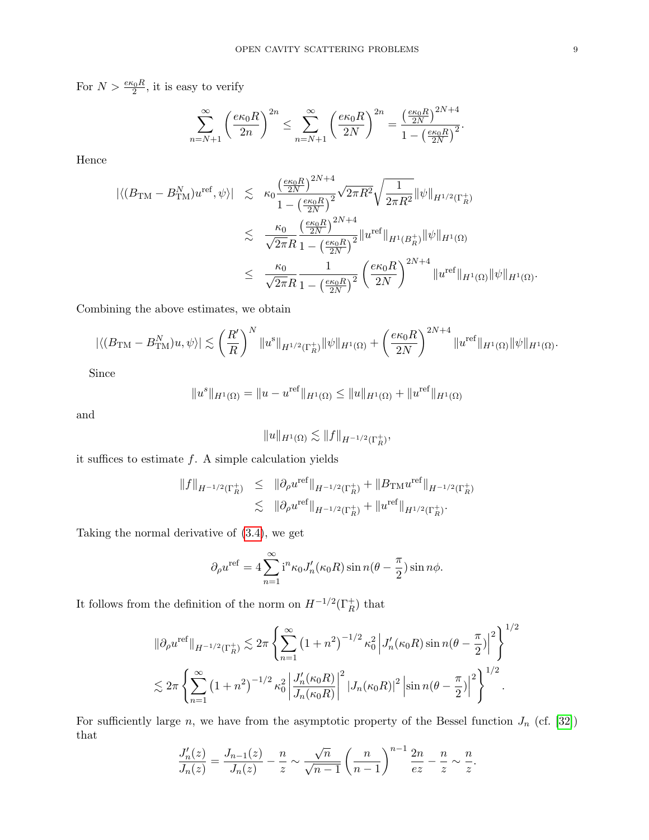For  $N > \frac{e\kappa_0 R}{2}$ , it is easy to verify

$$
\sum_{n=N+1}^{\infty} \left(\frac{e\kappa_0 R}{2n}\right)^{2n} \le \sum_{n=N+1}^{\infty} \left(\frac{e\kappa_0 R}{2N}\right)^{2n} = \frac{\left(\frac{e\kappa_0 R}{2N}\right)^{2N+4}}{1 - \left(\frac{e\kappa_0 R}{2N}\right)^2}.
$$

Hence

$$
\begin{split} |\langle (B_{\text{TM}} - B_{\text{TM}}^N)u^{\text{ref}}, \psi \rangle| &\lesssim \kappa_0 \frac{\left(\frac{e\kappa_0 R}{2N}\right)^{2N+4}}{1 - \left(\frac{e\kappa_0 R}{2N}\right)^2} \sqrt{2\pi R^2} \sqrt{\frac{1}{2\pi R^2}} ||\psi||_{H^{1/2}(\Gamma_R^+)}\\ &\lesssim \frac{\kappa_0}{\sqrt{2\pi} R} \frac{\left(\frac{e\kappa_0 R}{2N}\right)^{2N+4}}{1 - \left(\frac{e\kappa_0 R}{2N}\right)^2} ||u^{\text{ref}}||_{H^1(B_R^+)} ||\psi||_{H^1(\Omega)}\\ &\leq \frac{\kappa_0}{\sqrt{2\pi} R} \frac{1}{1 - \left(\frac{e\kappa_0 R}{2N}\right)^2} \left(\frac{e\kappa_0 R}{2N}\right)^{2N+4} ||u^{\text{ref}}||_{H^1(\Omega)} ||\psi||_{H^1(\Omega)}. \end{split}
$$

Combining the above estimates, we obtain

$$
|\langle (B_{\text{TM}} - B_{\text{TM}}^N)u, \psi \rangle| \lesssim \left(\frac{R'}{R}\right)^N \|u^s\|_{H^{1/2}(\Gamma_R^+)} \|\psi\|_{H^1(\Omega)} + \left(\frac{e\kappa_0 R}{2N}\right)^{2N+4} \|u^{\text{ref}}\|_{H^1(\Omega)} \|\psi\|_{H^1(\Omega)}.
$$

Since

$$
||u^s||_{H^1(\Omega)} = ||u - u^{\text{ref}}||_{H^1(\Omega)} \le ||u||_{H^1(\Omega)} + ||u^{\text{ref}}||_{H^1(\Omega)}
$$

and

$$
||u||_{H^1(\Omega)} \lesssim ||f||_{H^{-1/2}(\Gamma_R^+)},
$$

it suffices to estimate  $f$ . A simple calculation yields

$$
||f||_{H^{-1/2}(\Gamma_R^+)} \le ||\partial_\rho u^{\text{ref}}||_{H^{-1/2}(\Gamma_R^+)} + ||B_{\text{TM}} u^{\text{ref}}||_{H^{-1/2}(\Gamma_R^+)} \n\lesssim ||\partial_\rho u^{\text{ref}}||_{H^{-1/2}(\Gamma_R^+)} + ||u^{\text{ref}}||_{H^{1/2}(\Gamma_R^+)}.
$$

Taking the normal derivative of [\(3.4\)](#page-4-2), we get

$$
\partial_{\rho}u^{\text{ref}} = 4\sum_{n=1}^{\infty} \mathrm{i}^{n} \kappa_0 J'_n(\kappa_0 R) \sin n(\theta - \frac{\pi}{2}) \sin n\phi.
$$

It follows from the definition of the norm on  $H^{-1/2}(\Gamma_R^+)$  that

$$
\|\partial_{\rho}u^{\text{ref}}\|_{H^{-1/2}(\Gamma_R^+)} \lesssim 2\pi \left\{ \sum_{n=1}^{\infty} \left(1+n^2\right)^{-1/2} \kappa_0^2 \left| J'_n(\kappa_0 R) \sin n(\theta - \frac{\pi}{2}) \right|^2 \right\}^{1/2}
$$
  

$$
\lesssim 2\pi \left\{ \sum_{n=1}^{\infty} \left(1+n^2\right)^{-1/2} \kappa_0^2 \left| \frac{J'_n(\kappa_0 R)}{J_n(\kappa_0 R)} \right|^2 |J_n(\kappa_0 R)|^2 \left| \sin n(\theta - \frac{\pi}{2}) \right|^2 \right\}^{1/2}.
$$

For sufficiently large n, we have from the asymptotic property of the Bessel function  $J_n$  (cf. [\[32\]](#page-22-10)) that

$$
\frac{J'_n(z)}{J_n(z)} = \frac{J_{n-1}(z)}{J_n(z)} - \frac{n}{z} \sim \frac{\sqrt{n}}{\sqrt{n-1}} \left(\frac{n}{n-1}\right)^{n-1} \frac{2n}{ez} - \frac{n}{z} \sim \frac{n}{z}.
$$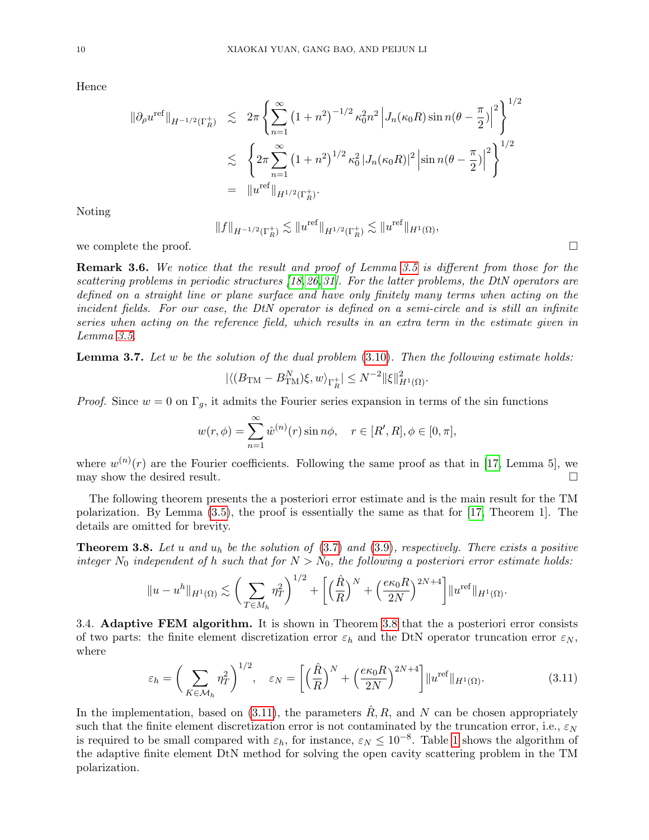Hence

$$
\|\partial_{\rho}u^{\text{ref}}\|_{H^{-1/2}(\Gamma_R^+)} \leq 2\pi \left\{ \sum_{n=1}^{\infty} (1+n^2)^{-1/2} \kappa_0^2 n^2 \left| J_n(\kappa_0 R) \sin n(\theta - \frac{\pi}{2}) \right|^2 \right\}^{1/2}
$$
  

$$
\leq \left\{ 2\pi \sum_{n=1}^{\infty} (1+n^2)^{1/2} \kappa_0^2 |J_n(\kappa_0 R)|^2 \left| \sin n(\theta - \frac{\pi}{2}) \right|^2 \right\}^{1/2}
$$
  

$$
= \|u^{\text{ref}}\|_{H^{1/2}(\Gamma_R^+)}.
$$

Noting

$$
||f||_{H^{-1/2}(\Gamma_R^+)} \lesssim ||u^{\textup{ref}}||_{H^{1/2}(\Gamma_R^+)} \lesssim ||u^{\textup{ref}}||_{H^1(\Omega)},
$$

we complete the proof.  $\Box$ 

Remark 3.6. We notice that the result and proof of Lemma [3.5](#page-7-0) is different from those for the scattering problems in periodic structures [\[18,](#page-21-16)[26,](#page-22-11)[31\]](#page-22-8). For the latter problems, the DtN operators are defined on a straight line or plane surface and have only finitely many terms when acting on the incident fields. For our case, the DtN operator is defined on a semi-circle and is still an infinite series when acting on the reference field, which results in an extra term in the estimate given in Lemma [3.5.](#page-7-0)

**Lemma 3.7.** Let w be the solution of the dual problem  $(3.10)$ . Then the following estimate holds:

$$
|\langle (B_{\mathrm{TM}} - B_{\mathrm{TM}}^N) \xi, w \rangle_{\Gamma_R^+}| \le N^{-2} ||\xi||_{H^1(\Omega)}^2.
$$

*Proof.* Since  $w = 0$  on  $\Gamma_g$ , it admits the Fourier series expansion in terms of the sin functions

$$
w(r,\phi) = \sum_{n=1}^{\infty} \hat{w}^{(n)}(r) \sin n\phi, \quad r \in [R',R], \phi \in [0,\pi],
$$

where  $w^{(n)}(r)$  are the Fourier coefficients. Following the same proof as that in [\[17,](#page-21-19) Lemma 5], we may show the desired result.  $\Box$ 

The following theorem presents the a posteriori error estimate and is the main result for the TM polarization. By Lemma [\(3.5\)](#page-7-0), the proof is essentially the same as that for [\[17,](#page-21-19) Theorem 1]. The details are omitted for brevity.

<span id="page-9-0"></span>**Theorem 3.8.** Let u and  $u_h$  be the solution of  $(3.7)$  and  $(3.9)$ , respectively. There exists a positive integer  $N_0$  independent of h such that for  $N > N_0$ , the following a posteriori error estimate holds:

$$
||u - u^{h}||_{H^{1}(\Omega)} \lesssim \left(\sum_{T \in M_{h}} \eta_{T}^{2}\right)^{1/2} + \left[\left(\frac{\hat{R}}{R}\right)^{N} + \left(\frac{e\kappa_{0}R}{2N}\right)^{2N+4}\right]||u^{ref}||_{H^{1}(\Omega)}.
$$

3.4. Adaptive FEM algorithm. It is shown in Theorem [3.8](#page-9-0) that the a posteriori error consists of two parts: the finite element discretization error  $\varepsilon_h$  and the DtN operator truncation error  $\varepsilon_N$ , where

<span id="page-9-1"></span>
$$
\varepsilon_h = \left(\sum_{K \in \mathcal{M}_h} \eta_T^2\right)^{1/2}, \quad \varepsilon_N = \left[\left(\frac{\hat{R}}{R}\right)^N + \left(\frac{e\kappa_0 R}{2N}\right)^{2N+4}\right] \|u^{\text{ref}}\|_{H^1(\Omega)}.
$$
\n(3.11)

In the implementation, based on [\(3.11\)](#page-9-1), the parameters  $\hat{R}$ , R, and N can be chosen appropriately such that the finite element discretization error is not contaminated by the truncation error, i.e.,  $\varepsilon_N$ is required to be small compared with  $\varepsilon_h$ , for instance,  $\varepsilon_N \leq 10^{-8}$  $\varepsilon_N \leq 10^{-8}$  $\varepsilon_N \leq 10^{-8}$ . Table 1 shows the algorithm of the adaptive finite element DtN method for solving the open cavity scattering problem in the TM polarization.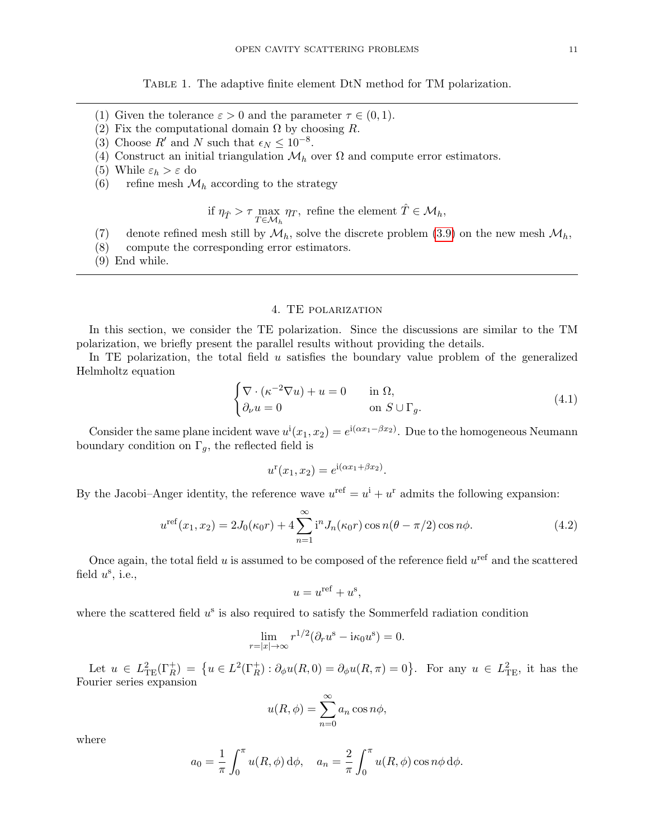Table 1. The adaptive finite element DtN method for TM polarization.

- (1) Given the tolerance  $\varepsilon > 0$  and the parameter  $\tau \in (0, 1)$ .
- (2) Fix the computational domain  $\Omega$  by choosing R.
- (3) Choose  $R'$  and N such that  $\epsilon_N \leq 10^{-8}$ .
- (4) Construct an initial triangulation  $\mathcal{M}_h$  over  $\Omega$  and compute error estimators.
- (5) While  $\varepsilon_h > \varepsilon$  do
- (6) refine mesh  $\mathcal{M}_h$  according to the strategy

if 
$$
\eta_{\hat{T}} > \tau \max_{T \in \mathcal{M}_h} \eta_T
$$
, refine the element  $\hat{T} \in \mathcal{M}_h$ ,

- (7) denote refined mesh still by  $\mathcal{M}_h$ , solve the discrete problem [\(3.9\)](#page-6-0) on the new mesh  $\mathcal{M}_h$ ,
- (8) compute the corresponding error estimators.
- <span id="page-10-1"></span>(9) End while.

# 4. TE polarization

<span id="page-10-0"></span>In this section, we consider the TE polarization. Since the discussions are similar to the TM polarization, we briefly present the parallel results without providing the details.

In TE polarization, the total field  $u$  satisfies the boundary value problem of the generalized Helmholtz equation

$$
\begin{cases} \nabla \cdot (\kappa^{-2} \nabla u) + u = 0 & \text{in } \Omega, \\ \n\partial_{\nu} u = 0 & \text{on } S \cup \Gamma_g. \n\end{cases} \tag{4.1}
$$

Consider the same plane incident wave  $u^i(x_1, x_2) = e^{i(\alpha x_1 - \beta x_2)}$ . Due to the homogeneous Neumann boundary condition on  $\Gamma_g$ , the reflected field is

$$
u^{r}(x_1, x_2) = e^{i(\alpha x_1 + \beta x_2)}.
$$

By the Jacobi–Anger identity, the reference wave  $u^{\text{ref}} = u^{\text{i}} + u^{\text{r}}$  admits the following expansion:

<span id="page-10-2"></span>
$$
u^{\text{ref}}(x_1, x_2) = 2J_0(\kappa_0 r) + 4\sum_{n=1}^{\infty} i^n J_n(\kappa_0 r) \cos n(\theta - \pi/2) \cos n\phi.
$$
 (4.2)

Once again, the total field  $u$  is assumed to be composed of the reference field  $u^{\text{ref}}$  and the scattered field  $u^s$ , i.e.,

$$
u = u^{\text{ref}} + u^{\text{s}},
$$

where the scattered field  $u^s$  is also required to satisfy the Sommerfeld radiation condition

$$
\lim_{r=|x|\to\infty} r^{1/2}(\partial_r u^s - i\kappa_0 u^s) = 0.
$$

Let  $u \in L^2_{\text{TE}}(\Gamma_R^+) = \{u \in L^2(\Gamma_R^+) : \partial_{\phi}u(R,0) = \partial_{\phi}u(R,\pi) = 0\}$ . For any  $u \in L^2_{\text{TE}}$ , it has the Fourier series expansion

$$
u(R, \phi) = \sum_{n=0}^{\infty} a_n \cos n\phi,
$$

where

$$
a_0 = \frac{1}{\pi} \int_0^{\pi} u(R, \phi) d\phi, \quad a_n = \frac{2}{\pi} \int_0^{\pi} u(R, \phi) \cos n\phi d\phi.
$$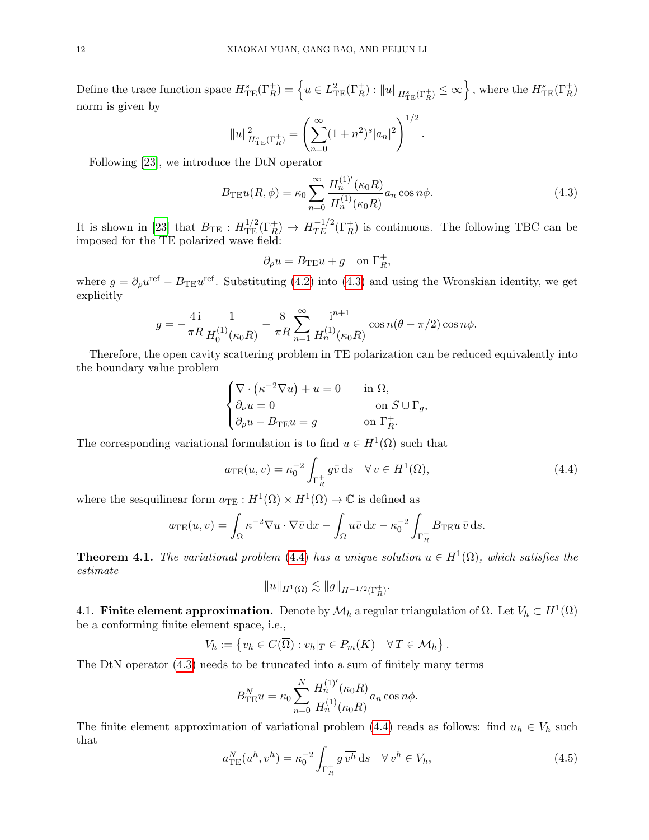$\text{Define the trace function space } H^s_{\text{TE}}(\Gamma_R^+) = \left\{ u \in L^2_{\text{TE}}(\Gamma_R^+): \|u\|_{H^s_{\text{TE}}(\Gamma_R^+)} \leq \infty \right\}, \text{ where the } H^s_{\text{TE}}(\Gamma_R^+)$ norm is given by  $1/2$ 

$$
||u||_{H_{\rm TE}^s(\Gamma_R^+)}^2 = \left(\sum_{n=0}^{\infty} (1+n^2)^s |a_n|^2\right)^{1/2}.
$$

Following [\[23\]](#page-22-6), we introduce the DtN operator

<span id="page-11-0"></span>
$$
B_{\text{TE}}u(R,\phi) = \kappa_0 \sum_{n=0}^{\infty} \frac{H_n^{(1)'}(\kappa_0 R)}{H_n^{(1)}(\kappa_0 R)} a_n \cos n\phi.
$$
 (4.3)

It is shown in [\[23\]](#page-22-6) that  $B_{\text{TE}}: H^{1/2}_{\text{TE}}(\Gamma_R^+) \to H^{1/2}_{\text{TE}}(\Gamma_R^+)$  is continuous. The following TBC can be imposed for the TE polarized wave field:

$$
\partial_{\rho}u = B_{\mathrm{TE}}u + g \quad \text{on } \Gamma_R^+,
$$

where  $g = \partial_{\rho}u^{\text{ref}} - B_{\text{TE}}u^{\text{ref}}$ . Substituting [\(4.2\)](#page-10-2) into [\(4.3\)](#page-11-0) and using the Wronskian identity, we get explicitly

$$
g = -\frac{4\,\mathrm{i}}{\pi R} \frac{1}{H_0^{(1)}(\kappa_0 R)} - \frac{8}{\pi R} \sum_{n=1}^{\infty} \frac{\mathrm{i}^{n+1}}{H_n^{(1)}(\kappa_0 R)} \cos n(\theta - \pi/2) \cos n\phi.
$$

Therefore, the open cavity scattering problem in TE polarization can be reduced equivalently into the boundary value problem

$$
\begin{cases} \nabla \cdot (\kappa^{-2} \nabla u) + u = 0 & \text{in } \Omega, \\ \partial_{\nu} u = 0 & \text{on } S \cup \Gamma_g, \\ \partial_{\rho} u - B_{\text{TE}} u = g & \text{on } \Gamma_R^+ . \end{cases}
$$

The corresponding variational formulation is to find  $u \in H^1(\Omega)$  such that

<span id="page-11-1"></span>
$$
a_{\mathrm{TE}}(u,v) = \kappa_0^{-2} \int_{\Gamma_R^+} g\bar{v} \,ds \quad \forall \, v \in H^1(\Omega),\tag{4.4}
$$

where the sesquilinear form  $a_{\text{TE}}: H^1(\Omega) \times H^1(\Omega) \to \mathbb{C}$  is defined as

$$
a_{\mathrm{TE}}(u,v) = \int_{\Omega} \kappa^{-2} \nabla u \cdot \nabla \bar{v} \,dx - \int_{\Omega} u \bar{v} \,dx - \kappa_0^{-2} \int_{\Gamma_R^+} B_{\mathrm{TE}} u \,\bar{v} \,ds.
$$

**Theorem 4.1.** The variational problem [\(4.4\)](#page-11-1) has a unique solution  $u \in H^1(\Omega)$ , which satisfies the estimate

$$
\|u\|_{H^1(\Omega)}\lesssim \|g\|_{H^{-1/2}(\Gamma_R^+)}.
$$

4.1. Finite element approximation. Denote by  $\mathcal{M}_h$  a regular triangulation of  $\Omega$ . Let  $V_h \subset H^1(\Omega)$ be a conforming finite element space, i.e.,

$$
V_h := \{ v_h \in C(\overline{\Omega}) : v_h|_T \in P_m(K) \quad \forall T \in \mathcal{M}_h \}.
$$

The DtN operator [\(4.3\)](#page-11-0) needs to be truncated into a sum of finitely many terms

$$
B_{\text{TE}}^{N} u = \kappa_0 \sum_{n=0}^{N} \frac{H_n^{(1)'}(\kappa_0 R)}{H_n^{(1)}(\kappa_0 R)} a_n \cos n\phi.
$$

The finite element approximation of variational problem [\(4.4\)](#page-11-1) reads as follows: find  $u_h \in V_h$  such that

<span id="page-11-2"></span>
$$
a_{\rm TE}^N(u^h, v^h) = \kappa_0^{-2} \int_{\Gamma_R^+} g \,\overline{v^h} \, \mathrm{d}s \quad \forall \, v^h \in V_h,\tag{4.5}
$$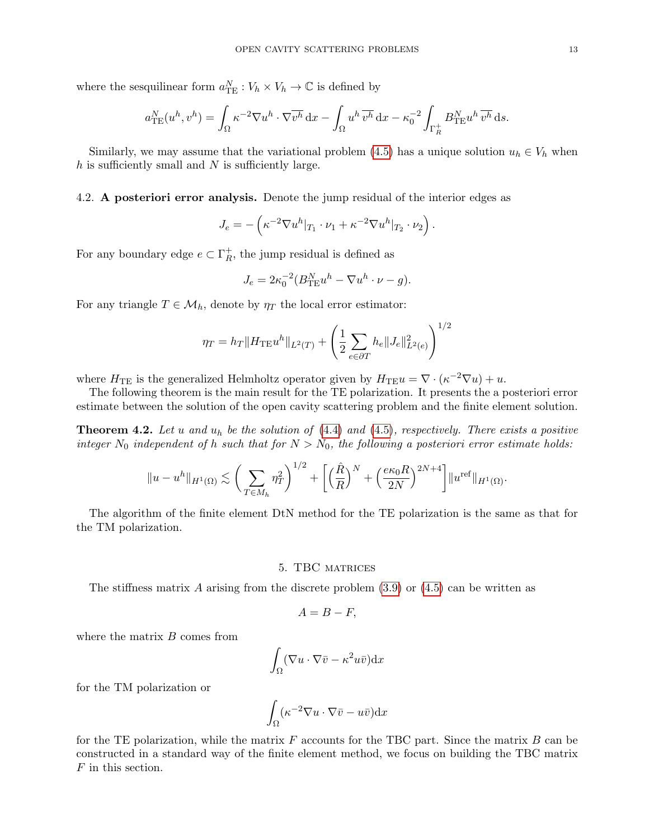where the sesquilinear form  $a_{\text{TE}}^N : V_h \times V_h \to \mathbb{C}$  is defined by

$$
a_{\rm TE}^N(u^h, v^h) = \int_{\Omega} \kappa^{-2} \nabla u^h \cdot \nabla \overline{v^h} \, dx - \int_{\Omega} u^h \, \overline{v^h} \, dx - \kappa_0^{-2} \int_{\Gamma_R^+} B_{\rm TE}^N u^h \, \overline{v^h} \, ds.
$$

Similarly, we may assume that the variational problem [\(4.5\)](#page-11-2) has a unique solution  $u_h \in V_h$  when  $h$  is sufficiently small and  $N$  is sufficiently large.

4.2. A posteriori error analysis. Denote the jump residual of the interior edges as

$$
J_e = -\left(\kappa^{-2} \nabla u^h|_{T_1} \cdot \nu_1 + \kappa^{-2} \nabla u^h|_{T_2} \cdot \nu_2\right).
$$

For any boundary edge  $e \subset \Gamma_R^+$  $R<sub>R</sub>$ , the jump residual is defined as

$$
J_e = 2\kappa_0^{-2} (B_{\text{TE}}^N u^h - \nabla u^h \cdot \nu - g).
$$

For any triangle  $T \in \mathcal{M}_h$ , denote by  $\eta_T$  the local error estimator:

$$
\eta_T = h_T \|H_{\text{TE}} u^h\|_{L^2(T)} + \left(\frac{1}{2} \sum_{e \in \partial T} h_e \|J_e\|_{L^2(e)}^2\right)^{1/2}
$$

where  $H_{\text{TE}}$  is the generalized Helmholtz operator given by  $H_{\text{TE}}u = \nabla \cdot (\kappa^{-2} \nabla u) + u$ .

The following theorem is the main result for the TE polarization. It presents the a posteriori error estimate between the solution of the open cavity scattering problem and the finite element solution.

**Theorem 4.2.** Let u and  $u_h$  be the solution of  $(4.4)$  and  $(4.5)$ , respectively. There exists a positive integer  $N_0$  independent of h such that for  $N > N_0$ , the following a posteriori error estimate holds:

$$
||u - u^{h}||_{H^{1}(\Omega)} \lesssim \left(\sum_{T \in M_{h}} \eta_{T}^{2}\right)^{1/2} + \left[\left(\frac{\hat{R}}{R}\right)^{N} + \left(\frac{e\kappa_{0}R}{2N}\right)^{2N+4}\right]||u^{ref}||_{H^{1}(\Omega)}.
$$

The algorithm of the finite element DtN method for the TE polarization is the same as that for the TM polarization.

### 5. TBC matrices

<span id="page-12-0"></span>The stiffness matrix A arising from the discrete problem  $(3.9)$  or  $(4.5)$  can be written as

$$
A=B-F,
$$

where the matrix  $B$  comes from

$$
\int_{\Omega} (\nabla u \cdot \nabla \bar{v} - \kappa^2 u \bar{v}) \mathrm{d}x
$$

for the TM polarization or

$$
\int_{\Omega} (\kappa^{-2} \nabla u \cdot \nabla \bar{v} - u \bar{v}) \mathrm{d}x
$$

for the TE polarization, while the matrix  $F$  accounts for the TBC part. Since the matrix  $B$  can be constructed in a standard way of the finite element method, we focus on building the TBC matrix F in this section.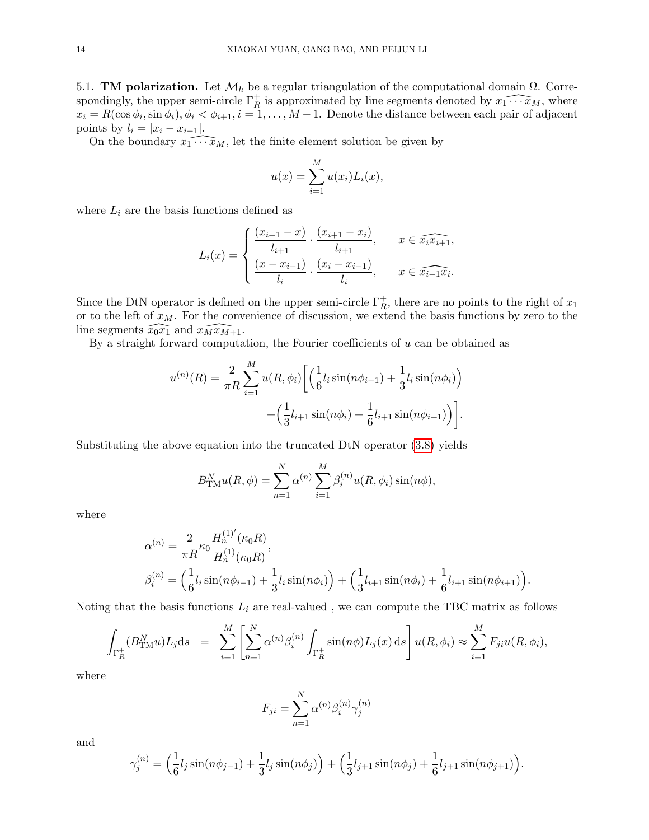5.1. **TM polarization.** Let  $\mathcal{M}_h$  be a regular triangulation of the computational domain  $\Omega$ . Correspondingly, the upper semi-circle  $\Gamma_R^+$  is approximated by line segments denoted by  $\widehat{x_1 \cdots x_M}$ , where  $x_i = R(\cos \phi_i, \sin \phi_i), \phi_i < \phi_{i+1}, i = 1, \dots, M-1$ . Denote the distance between each pair of adjacent points by  $l_i = |x_i - x_{i-1}|$ .

On the boundary  $x_1 \cdots x_M$ , let the finite element solution be given by

$$
u(x) = \sum_{i=1}^{M} u(x_i) L_i(x),
$$

where  $L_i$  are the basis functions defined as

$$
L_i(x) = \begin{cases} \frac{(x_{i+1} - x)}{l_{i+1}} \cdot \frac{(x_{i+1} - x_i)}{l_{i+1}}, & x \in \widehat{x_i x_{i+1}}, \\ \frac{(x - x_{i-1})}{l_i} \cdot \frac{(x_i - x_{i-1})}{l_i}, & x \in \widehat{x_{i-1} x_i.} \end{cases}
$$

Since the DtN operator is defined on the upper semi-circle  $\Gamma_R^+$ , there are no points to the right of  $x_1$ or to the left of  $x_M$ . For the convenience of discussion, we extend the basis functions by zero to the line segments  $\widehat{x_0x_1}$  and  $\widehat{x_1x_1}$ .

By a straight forward computation, the Fourier coefficients of  $u$  can be obtained as

$$
u^{(n)}(R) = \frac{2}{\pi R} \sum_{i=1}^{M} u(R, \phi_i) \left[ \left( \frac{1}{6} l_i \sin(n\phi_{i-1}) + \frac{1}{3} l_i \sin(n\phi_i) \right) + \left( \frac{1}{3} l_{i+1} \sin(n\phi_i) + \frac{1}{6} l_{i+1} \sin(n\phi_{i+1}) \right) \right].
$$

Substituting the above equation into the truncated DtN operator [\(3.8\)](#page-5-2) yields

$$
B_{\text{TM}}^N u(R,\phi) = \sum_{n=1}^N \alpha^{(n)} \sum_{i=1}^M \beta_i^{(n)} u(R,\phi_i) \sin(n\phi),
$$

where

$$
\alpha^{(n)} = \frac{2}{\pi R} \kappa_0 \frac{H_n^{(1)'}(\kappa_0 R)}{H_n^{(1)}(\kappa_0 R)},
$$
  

$$
\beta_i^{(n)} = \left(\frac{1}{6} l_i \sin(n\phi_{i-1}) + \frac{1}{3} l_i \sin(n\phi_i)\right) + \left(\frac{1}{3} l_{i+1} \sin(n\phi_i) + \frac{1}{6} l_{i+1} \sin(n\phi_{i+1})\right).
$$

Noting that the basis functions  $L_i$  are real-valued, we can compute the TBC matrix as follows

$$
\int_{\Gamma_R^+} (B_{\rm TM}^N u) L_j ds = \sum_{i=1}^M \left[ \sum_{n=1}^N \alpha^{(n)} \beta_i^{(n)} \int_{\Gamma_R^+} \sin(n\phi) L_j(x) ds \right] u(R, \phi_i) \approx \sum_{i=1}^M F_{ji} u(R, \phi_i),
$$

where

$$
F_{ji} = \sum_{n=1}^{N} \alpha^{(n)} \beta_i^{(n)} \gamma_j^{(n)}
$$

and

$$
\gamma_j^{(n)} = \left(\frac{1}{6}l_j\sin(n\phi_{j-1}) + \frac{1}{3}l_j\sin(n\phi_j)\right) + \left(\frac{1}{3}l_{j+1}\sin(n\phi_j) + \frac{1}{6}l_{j+1}\sin(n\phi_{j+1})\right).
$$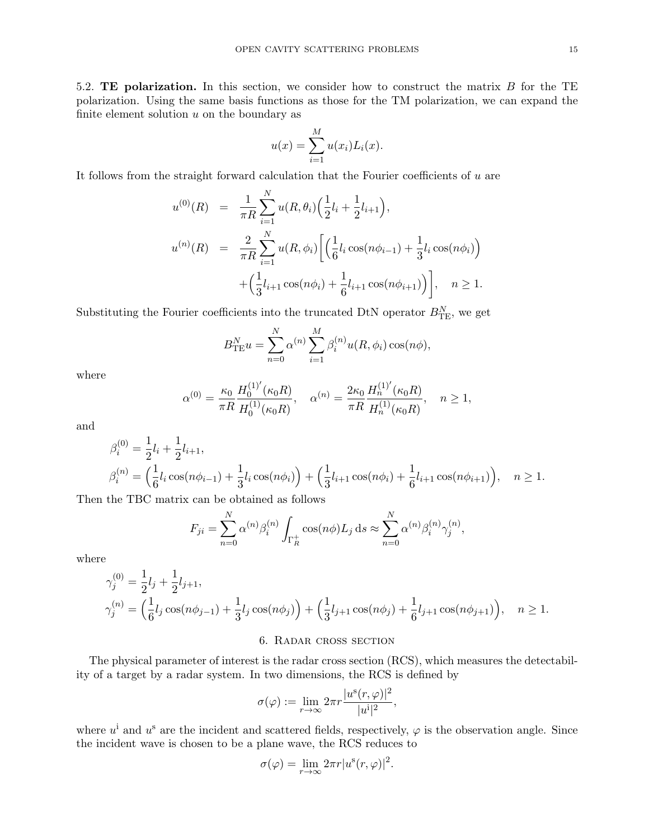5.2. TE polarization. In this section, we consider how to construct the matrix B for the TE polarization. Using the same basis functions as those for the TM polarization, we can expand the finite element solution  $u$  on the boundary as

$$
u(x) = \sum_{i=1}^{M} u(x_i) L_i(x).
$$

It follows from the straight forward calculation that the Fourier coefficients of u are

$$
u^{(0)}(R) = \frac{1}{\pi R} \sum_{i=1}^{N} u(R, \theta_i) \left(\frac{1}{2}l_i + \frac{1}{2}l_{i+1}\right),
$$
  

$$
u^{(n)}(R) = \frac{2}{\pi R} \sum_{i=1}^{N} u(R, \phi_i) \left[\left(\frac{1}{6}l_i \cos(n\phi_{i-1}) + \frac{1}{3}l_i \cos(n\phi_i)\right) + \left(\frac{1}{3}l_{i+1} \cos(n\phi_i) + \frac{1}{6}l_{i+1} \cos(n\phi_{i+1})\right)\right], \quad n \ge 1.
$$

Substituting the Fourier coefficients into the truncated DtN operator  $B_{\text{TE}}^{N}$ , we get

$$
B_{\text{TE}}^{N} u = \sum_{n=0}^{N} \alpha^{(n)} \sum_{i=1}^{M} \beta_i^{(n)} u(R, \phi_i) \cos(n\phi),
$$

where

$$
\alpha^{(0)} = \frac{\kappa_0}{\pi R}\frac{H_0^{(1)'}(\kappa_0 R)}{H_0^{(1)}(\kappa_0 R)}, \quad \alpha^{(n)} = \frac{2\kappa_0}{\pi R}\frac{H_n^{(1)'}(\kappa_0 R)}{H_n^{(1)}(\kappa_0 R)}, \quad n \ge 1,
$$

and

$$
\beta_i^{(0)} = \frac{1}{2}l_i + \frac{1}{2}l_{i+1},
$$
  
\n
$$
\beta_i^{(n)} = \left(\frac{1}{6}l_i\cos(n\phi_{i-1}) + \frac{1}{3}l_i\cos(n\phi_i)\right) + \left(\frac{1}{3}l_{i+1}\cos(n\phi_i) + \frac{1}{6}l_{i+1}\cos(n\phi_{i+1})\right), \quad n \ge 1.
$$

Then the TBC matrix can be obtained as follows

$$
F_{ji} = \sum_{n=0}^{N} \alpha^{(n)} \beta_i^{(n)} \int_{\Gamma_R^+} \cos(n\phi) L_j \, \mathrm{d}s \approx \sum_{n=0}^{N} \alpha^{(n)} \beta_i^{(n)} \gamma_j^{(n)},
$$

where

$$
\gamma_j^{(0)} = \frac{1}{2}l_j + \frac{1}{2}l_{j+1},
$$
  
\n
$$
\gamma_j^{(n)} = \left(\frac{1}{6}l_j\cos(n\phi_{j-1}) + \frac{1}{3}l_j\cos(n\phi_j)\right) + \left(\frac{1}{3}l_{j+1}\cos(n\phi_j) + \frac{1}{6}l_{j+1}\cos(n\phi_{j+1})\right), \quad n \ge 1.
$$

## 6. Radar cross section

<span id="page-14-0"></span>The physical parameter of interest is the radar cross section (RCS), which measures the detectability of a target by a radar system. In two dimensions, the RCS is defined by

$$
\sigma(\varphi):=\lim_{r\to\infty}2\pi r\frac{|u^{\rm s}(r,\varphi)|^2}{|u^{\rm i}|^2},
$$

where  $u^i$  and  $u^s$  are the incident and scattered fields, respectively,  $\varphi$  is the observation angle. Since the incident wave is chosen to be a plane wave, the RCS reduces to

$$
\sigma(\varphi) = \lim_{r \to \infty} 2\pi r |u^{\rm s}(r, \varphi)|^2.
$$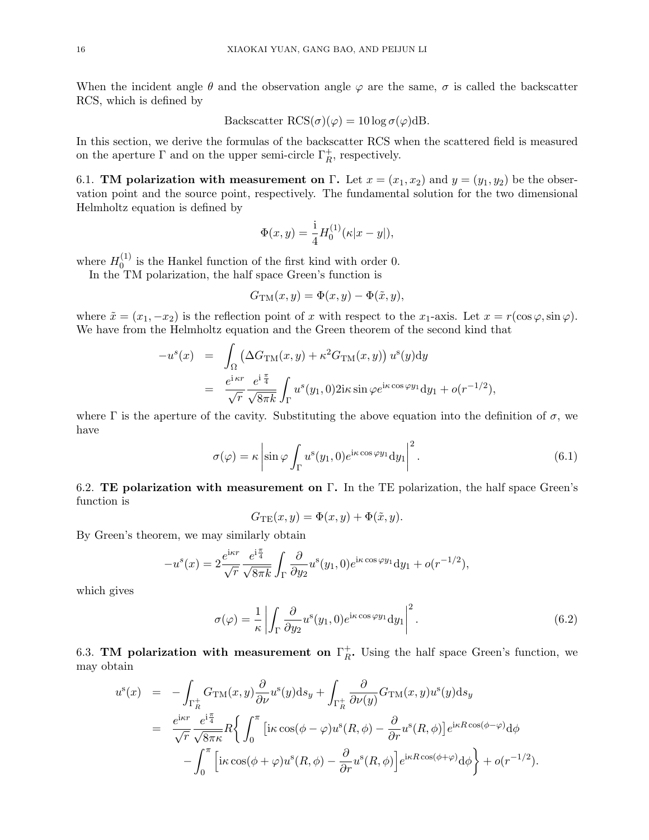When the incident angle  $\theta$  and the observation angle  $\varphi$  are the same,  $\sigma$  is called the backscatter RCS, which is defined by

Backscatter 
$$
\text{RCS}(\sigma)(\varphi) = 10 \log \sigma(\varphi) \text{dB}
$$
.

In this section, we derive the formulas of the backscatter RCS when the scattered field is measured on the aperture  $\Gamma$  and on the upper semi-circle  $\Gamma_R^+$ , respectively.

6.1. **TM polarization with measurement on Γ.** Let  $x = (x_1, x_2)$  and  $y = (y_1, y_2)$  be the observation point and the source point, respectively. The fundamental solution for the two dimensional Helmholtz equation is defined by

$$
\Phi(x, y) = \frac{1}{4} H_0^{(1)}(\kappa |x - y|),
$$

where  $H_0^{(1)}$  $\int_0^{(1)}$  is the Hankel function of the first kind with order 0.

In the TM polarization, the half space Green's function is

$$
G_{\text{TM}}(x, y) = \Phi(x, y) - \Phi(\tilde{x}, y),
$$

where  $\tilde{x} = (x_1, -x_2)$  is the reflection point of x with respect to the  $x_1$ -axis. Let  $x = r(\cos \varphi, \sin \varphi)$ . We have from the Helmholtz equation and the Green theorem of the second kind that

$$
-u^{s}(x) = \int_{\Omega} \left( \Delta G_{TM}(x, y) + \kappa^{2} G_{TM}(x, y) \right) u^{s}(y) dy
$$
  

$$
= \frac{e^{i \kappa r}}{\sqrt{r}} \frac{e^{i \frac{\pi}{4}}}{\sqrt{8\pi k}} \int_{\Gamma} u^{s}(y_{1}, 0) 2i\kappa \sin \varphi e^{i\kappa \cos \varphi y_{1}} dy_{1} + o(r^{-1/2}),
$$

where  $\Gamma$  is the aperture of the cavity. Substituting the above equation into the definition of  $\sigma$ , we have

<span id="page-15-0"></span>
$$
\sigma(\varphi) = \kappa \left| \sin \varphi \int_{\Gamma} u^s(y_1, 0) e^{i\kappa \cos \varphi y_1} dy_1 \right|^2.
$$
 (6.1)

6.2. TE polarization with measurement on  $\Gamma$ . In the TE polarization, the half space Green's function is

$$
G_{\rm TE}(x, y) = \Phi(x, y) + \Phi(\tilde{x}, y).
$$

By Green's theorem, we may similarly obtain

$$
-u^{s}(x) = 2\frac{e^{i\kappa r}}{\sqrt{r}}\frac{e^{i\frac{\pi}{4}}}{\sqrt{8\pi k}}\int_{\Gamma}\frac{\partial}{\partial y_{2}}u^{s}(y_{1},0)e^{i\kappa \cos \varphi y_{1}}\mathrm{d}y_{1} + o(r^{-1/2}),
$$

which gives

<span id="page-15-1"></span>
$$
\sigma(\varphi) = \frac{1}{\kappa} \left| \int_{\Gamma} \frac{\partial}{\partial y_2} u^s(y_1, 0) e^{i\kappa \cos \varphi y_1} dy_1 \right|^2.
$$
 (6.2)

6.3. TM polarization with measurement on  $\Gamma_R^+$  $R$ . Using the half space Green's function, we may obtain

$$
u^{s}(x) = -\int_{\Gamma_{R}^{+}} G_{TM}(x, y) \frac{\partial}{\partial \nu} u^{s}(y) ds_{y} + \int_{\Gamma_{R}^{+}} \frac{\partial}{\partial \nu(y)} G_{TM}(x, y) u^{s}(y) ds_{y}
$$
  

$$
= \frac{e^{i\kappa r}}{\sqrt{r}} \frac{e^{i\frac{\pi}{4}}}{\sqrt{8\pi \kappa}} R \left\{ \int_{0}^{\pi} \left[ i\kappa \cos(\phi - \varphi) u^{s}(R, \phi) - \frac{\partial}{\partial r} u^{s}(R, \phi) \right] e^{i\kappa R \cos(\phi - \varphi)} d\phi - \int_{0}^{\pi} \left[ i\kappa \cos(\phi + \varphi) u^{s}(R, \phi) - \frac{\partial}{\partial r} u^{s}(R, \phi) \right] e^{i\kappa R \cos(\phi + \varphi)} d\phi \right\} + o(r^{-1/2}).
$$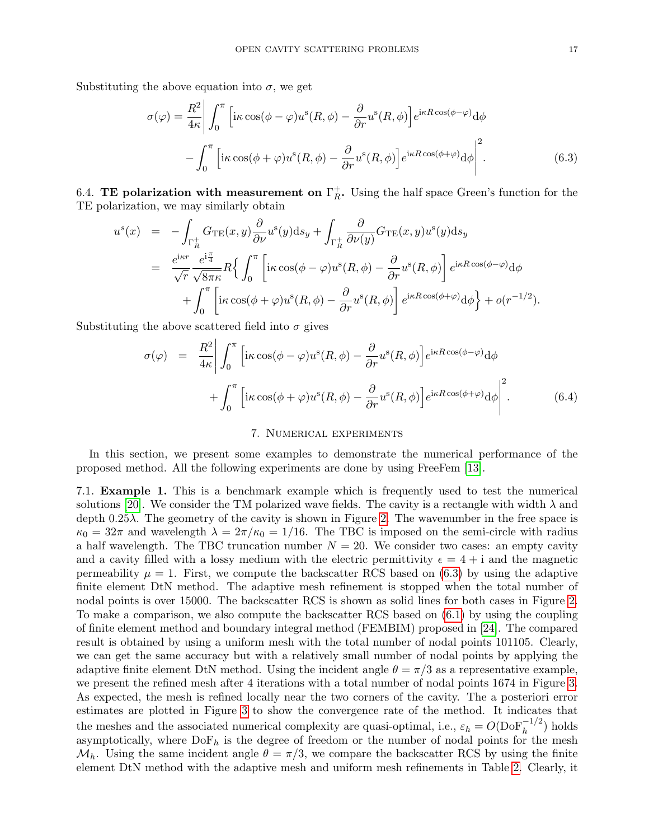Substituting the above equation into  $\sigma$ , we get

<span id="page-16-1"></span>
$$
\sigma(\varphi) = \frac{R^2}{4\kappa} \left| \int_0^\pi \left[ i\kappa \cos(\phi - \varphi) u^s(R, \phi) - \frac{\partial}{\partial r} u^s(R, \phi) \right] e^{i\kappa R \cos(\phi - \varphi)} d\phi \right|
$$

$$
- \int_0^\pi \left[ i\kappa \cos(\phi + \varphi) u^s(R, \phi) - \frac{\partial}{\partial r} u^s(R, \phi) \right] e^{i\kappa R \cos(\phi + \varphi)} d\phi \Big|^2.
$$
(6.3)

6.4. TE polarization with measurement on  $\Gamma_R^+$  $R$ . Using the half space Green's function for the TE polarization, we may similarly obtain

$$
u^{s}(x) = -\int_{\Gamma_{R}^{+}} G_{\text{TE}}(x, y) \frac{\partial}{\partial \nu} u^{s}(y) \mathrm{d}s_{y} + \int_{\Gamma_{R}^{+}} \frac{\partial}{\partial \nu(y)} G_{\text{TE}}(x, y) u^{s}(y) \mathrm{d}s_{y}
$$
  
\n
$$
= \frac{e^{i\kappa r}}{\sqrt{r}} \frac{e^{i\frac{\pi}{4}}}{\sqrt{8\pi\kappa}} R\left\{ \int_{0}^{\pi} \left[ i\kappa \cos(\phi - \varphi) u^{s}(R, \phi) - \frac{\partial}{\partial r} u^{s}(R, \phi) \right] e^{i\kappa R \cos(\phi - \varphi)} \mathrm{d}\phi + \int_{0}^{\pi} \left[ i\kappa \cos(\phi + \varphi) u^{s}(R, \phi) - \frac{\partial}{\partial r} u^{s}(R, \phi) \right] e^{i\kappa R \cos(\phi + \varphi)} \mathrm{d}\phi \right\} + o(r^{-1/2}).
$$

Substituting the above scattered field into  $\sigma$  gives

<span id="page-16-2"></span>
$$
\sigma(\varphi) = \frac{R^2}{4\kappa} \left| \int_0^{\pi} \left[ i\kappa \cos(\phi - \varphi) u^s(R, \phi) - \frac{\partial}{\partial r} u^s(R, \phi) \right] e^{i\kappa R \cos(\phi - \varphi)} d\phi \right|
$$
  
+ 
$$
\int_0^{\pi} \left[ i\kappa \cos(\phi + \varphi) u^s(R, \phi) - \frac{\partial}{\partial r} u^s(R, \phi) \right] e^{i\kappa R \cos(\phi + \varphi)} d\phi \Big|^{2}.
$$
 (6.4)

#### 7. Numerical experiments

<span id="page-16-0"></span>In this section, we present some examples to demonstrate the numerical performance of the proposed method. All the following experiments are done by using FreeFem [\[13\]](#page-21-20).

7.1. Example 1. This is a benchmark example which is frequently used to test the numerical solutions [\[20\]](#page-21-21). We consider the TM polarized wave fields. The cavity is a rectangle with width  $\lambda$  and depth  $0.25\lambda$ . The geometry of the cavity is shown in Figure [2.](#page-17-0) The wavenumber in the free space is  $\kappa_0 = 32\pi$  and wavelength  $\lambda = 2\pi/\kappa_0 = 1/16$ . The TBC is imposed on the semi-circle with radius a half wavelength. The TBC truncation number  $N = 20$ . We consider two cases: an empty cavity and a cavity filled with a lossy medium with the electric permittivity  $\epsilon = 4 + i$  and the magnetic permeability  $\mu = 1$ . First, we compute the backscatter RCS based on [\(6.3\)](#page-16-1) by using the adaptive finite element DtN method. The adaptive mesh refinement is stopped when the total number of nodal points is over 15000. The backscatter RCS is shown as solid lines for both cases in Figure [2.](#page-17-0) To make a comparison, we also compute the backscatter RCS based on [\(6.1\)](#page-15-0) by using the coupling of finite element method and boundary integral method (FEMBIM) proposed in [\[24\]](#page-22-4). The compared result is obtained by using a uniform mesh with the total number of nodal points 101105. Clearly, we can get the same accuracy but with a relatively small number of nodal points by applying the adaptive finite element DtN method. Using the incident angle  $\theta = \pi/3$  as a representative example, we present the refined mesh after 4 iterations with a total number of nodal points 1674 in Figure [3.](#page-17-1) As expected, the mesh is refined locally near the two corners of the cavity. The a posteriori error estimates are plotted in Figure [3](#page-17-1) to show the convergence rate of the method. It indicates that the meshes and the associated numerical complexity are quasi-optimal, i.e.,  $\varepsilon_h = O(D \text{of}^{-1/2}_h)$  holds asymptotically, where  $DoF_h$  is the degree of freedom or the number of nodal points for the mesh  $\mathcal{M}_h$ . Using the same incident angle  $\theta = \pi/3$ , we compare the backscatter RCS by using the finite element DtN method with the adaptive mesh and uniform mesh refinements in Table [2.](#page-18-0) Clearly, it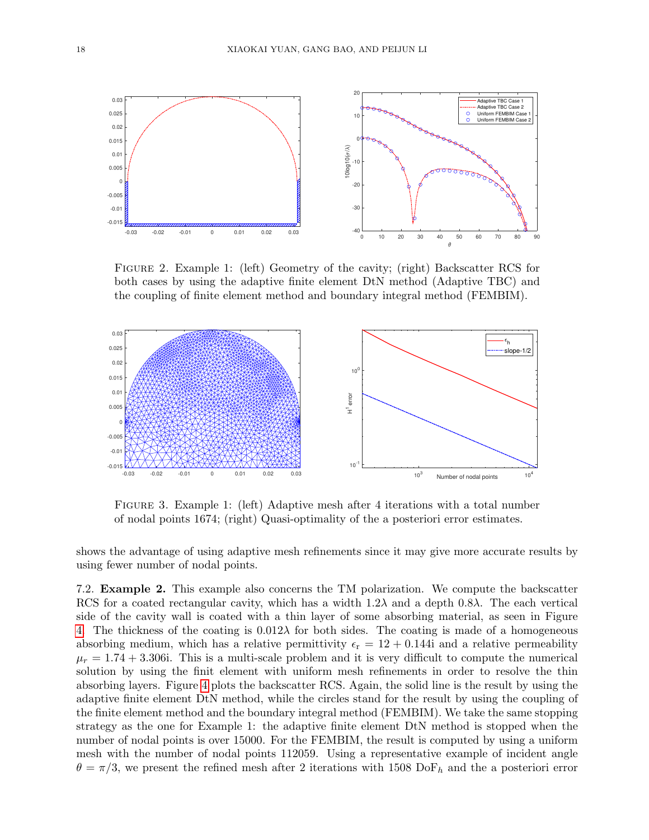

<span id="page-17-0"></span>Figure 2. Example 1: (left) Geometry of the cavity; (right) Backscatter RCS for both cases by using the adaptive finite element DtN method (Adaptive TBC) and the coupling of finite element method and boundary integral method (FEMBIM).



<span id="page-17-1"></span>Figure 3. Example 1: (left) Adaptive mesh after 4 iterations with a total number of nodal points 1674; (right) Quasi-optimality of the a posteriori error estimates.

shows the advantage of using adaptive mesh refinements since it may give more accurate results by using fewer number of nodal points.

7.2. Example 2. This example also concerns the TM polarization. We compute the backscatter RCS for a coated rectangular cavity, which has a width  $1.2\lambda$  and a depth 0.8λ. The each vertical side of the cavity wall is coated with a thin layer of some absorbing material, as seen in Figure [4.](#page-18-1) The thickness of the coating is  $0.012\lambda$  for both sides. The coating is made of a homogeneous absorbing medium, which has a relative permittivity  $\epsilon_{\rm r} = 12 + 0.144$  and a relative permeability  $\mu_r = 1.74 + 3.306$ i. This is a multi-scale problem and it is very difficult to compute the numerical solution by using the finit element with uniform mesh refinements in order to resolve the thin absorbing layers. Figure [4](#page-18-1) plots the backscatter RCS. Again, the solid line is the result by using the adaptive finite element DtN method, while the circles stand for the result by using the coupling of the finite element method and the boundary integral method (FEMBIM). We take the same stopping strategy as the one for Example 1: the adaptive finite element DtN method is stopped when the number of nodal points is over 15000. For the FEMBIM, the result is computed by using a uniform mesh with the number of nodal points 112059. Using a representative example of incident angle  $\theta = \pi/3$ , we present the refined mesh after 2 iterations with 1508 DoF<sub>h</sub> and the a posteriori error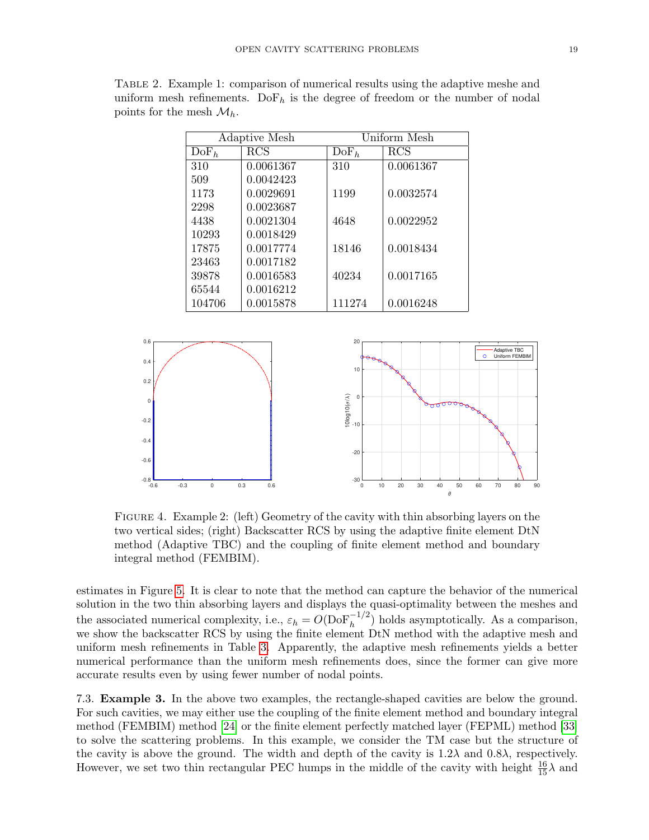| Adaptive Mesh    |                       | Uniform Mesh     |            |
|------------------|-----------------------|------------------|------------|
| DoF <sub>h</sub> | $\mathrm{RCS}\xspace$ | DoF <sub>h</sub> | <b>RCS</b> |
| 310              | 0.0061367             | 310              | 0.0061367  |
| 509              | 0.0042423             |                  |            |
| 1173             | 0.0029691             | 1199             | 0.0032574  |
| 2298             | 0.0023687             |                  |            |
| 4438             | 0.0021304             | 4648             | 0.0022952  |
| 10293            | 0.0018429             |                  |            |
| 17875            | 0.0017774             | 18146            | 0.0018434  |
| 23463            | 0.0017182             |                  |            |
| 39878            | 0.0016583             | 40234            | 0.0017165  |
| 65544            | 0.0016212             |                  |            |
| 104706           | 0.0015878             | 111274           | 0.0016248  |

<span id="page-18-0"></span>Table 2. Example 1: comparison of numerical results using the adaptive meshe and uniform mesh refinements.  $DoF_h$  is the degree of freedom or the number of nodal points for the mesh  $\mathcal{M}_h$ .



<span id="page-18-1"></span>Figure 4. Example 2: (left) Geometry of the cavity with thin absorbing layers on the two vertical sides; (right) Backscatter RCS by using the adaptive finite element DtN method (Adaptive TBC) and the coupling of finite element method and boundary integral method (FEMBIM).

estimates in Figure [5.](#page-19-0) It is clear to note that the method can capture the behavior of the numerical solution in the two thin absorbing layers and displays the quasi-optimality between the meshes and the associated numerical complexity, i.e.,  $\varepsilon_h = O(D \circ F_h^{-1/2})$  holds asymptotically. As a comparison, we show the backscatter RCS by using the finite element DtN method with the adaptive mesh and uniform mesh refinements in Table [3.](#page-19-1) Apparently, the adaptive mesh refinements yields a better numerical performance than the uniform mesh refinements does, since the former can give more accurate results even by using fewer number of nodal points.

7.3. Example 3. In the above two examples, the rectangle-shaped cavities are below the ground. For such cavities, we may either use the coupling of the finite element method and boundary integral method (FEMBIM) method [\[24\]](#page-22-4) or the finite element perfectly matched layer (FEPML) method [\[33\]](#page-22-5) to solve the scattering problems. In this example, we consider the TM case but the structure of the cavity is above the ground. The width and depth of the cavity is  $1.2\lambda$  and  $0.8\lambda$ , respectively. However, we set two thin rectangular PEC humps in the middle of the cavity with height  $\frac{16}{15}\lambda$  and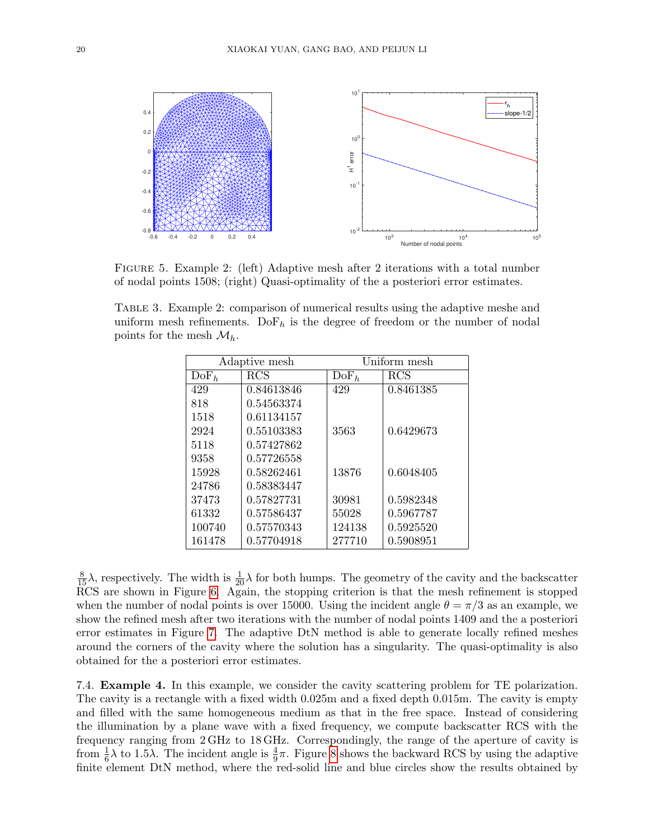

<span id="page-19-0"></span>Figure 5. Example 2: (left) Adaptive mesh after 2 iterations with a total number of nodal points 1508; (right) Quasi-optimality of the a posteriori error estimates.

<span id="page-19-1"></span>Table 3. Example 2: comparison of numerical results using the adaptive meshe and uniform mesh refinements. Do  $F_h$  is the degree of freedom or the number of nodal points for the mesh  $\mathcal{M}_h$ .

| Adaptive mesh    |            | Uniform mesh     |              |
|------------------|------------|------------------|--------------|
| DoF <sub>h</sub> | RCS        | DoF <sub>h</sub> | $_{\rm RCS}$ |
| 429              | 0.84613846 | 429              | 0.8461385    |
| 818              | 0.54563374 |                  |              |
| 1518             | 0.61134157 |                  |              |
| 2924             | 0.55103383 | 3563             | 0.6429673    |
| 5118             | 0.57427862 |                  |              |
| 9358             | 0.57726558 |                  |              |
| 15928            | 0.58262461 | 13876            | 0.6048405    |
| 24786            | 0.58383447 |                  |              |
| 37473            | 0.57827731 | 30981            | 0.5982348    |
| 61332            | 0.57586437 | 55028            | 0.5967787    |
| 100740           | 0.57570343 | 124138           | 0.5925520    |
| 161478           | 0.57704918 | 277710           | 0.5908951    |

 $\frac{8}{15}\lambda$ , respectively. The width is  $\frac{1}{20}\lambda$  for both humps. The geometry of the cavity and the backscatter RCS are shown in Figure [6.](#page-20-0) Again, the stopping criterion is that the mesh refinement is stopped when the number of nodal points is over 15000. Using the incident angle  $\theta = \pi/3$  as an example, we show the refined mesh after two iterations with the number of nodal points 1409 and the a posteriori error estimates in Figure [7.](#page-20-1) The adaptive DtN method is able to generate locally refined meshes around the corners of the cavity where the solution has a singularity. The quasi-optimality is also obtained for the a posteriori error estimates.

7.4. Example 4. In this example, we consider the cavity scattering problem for TE polarization. The cavity is a rectangle with a fixed width 0.025m and a fixed depth 0.015m. The cavity is empty and filled with the same homogeneous medium as that in the free space. Instead of considering the illumination by a plane wave with a fixed frequency, we compute backscatter RCS with the frequency ranging from 2 GHz to 18 GHz. Correspondingly, the range of the aperture of cavity is from  $\frac{1}{6}\lambda$  to 1.5 $\lambda$ . The incident angle is  $\frac{4}{9}\pi$ . Figure [8](#page-20-2) shows the backward RCS by using the adaptive finite element DtN method, where the red-solid line and blue circles show the results obtained by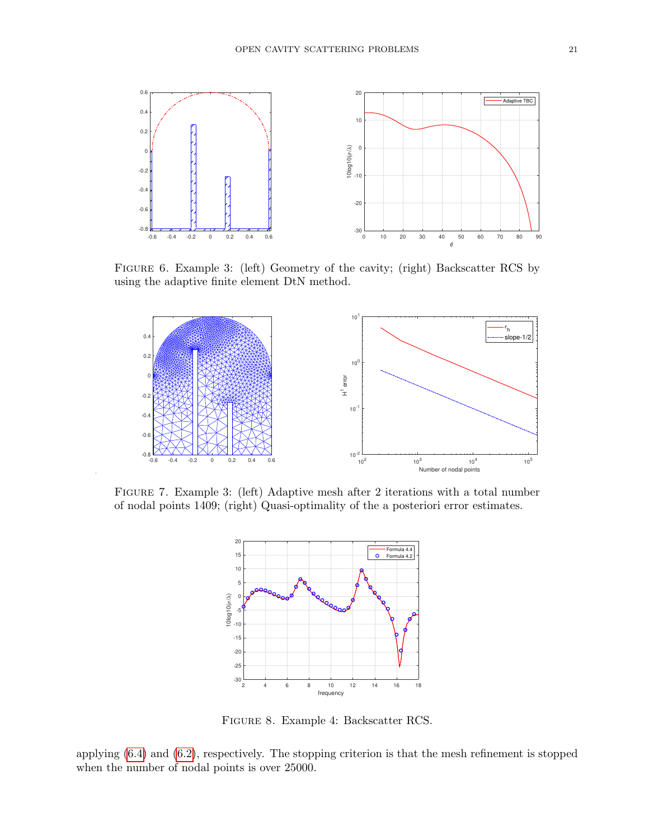

<span id="page-20-0"></span>Figure 6. Example 3: (left) Geometry of the cavity; (right) Backscatter RCS by using the adaptive finite element DtN method.



Figure 7. Example 3: (left) Adaptive mesh after 2 iterations with a total number of nodal points 1409; (right) Quasi-optimality of the a posteriori error estimates.

<span id="page-20-1"></span>

<span id="page-20-2"></span>Figure 8. Example 4: Backscatter RCS.

applying [\(6.4\)](#page-16-2) and [\(6.2\)](#page-15-1), respectively. The stopping criterion is that the mesh refinement is stopped when the number of nodal points is over 25000.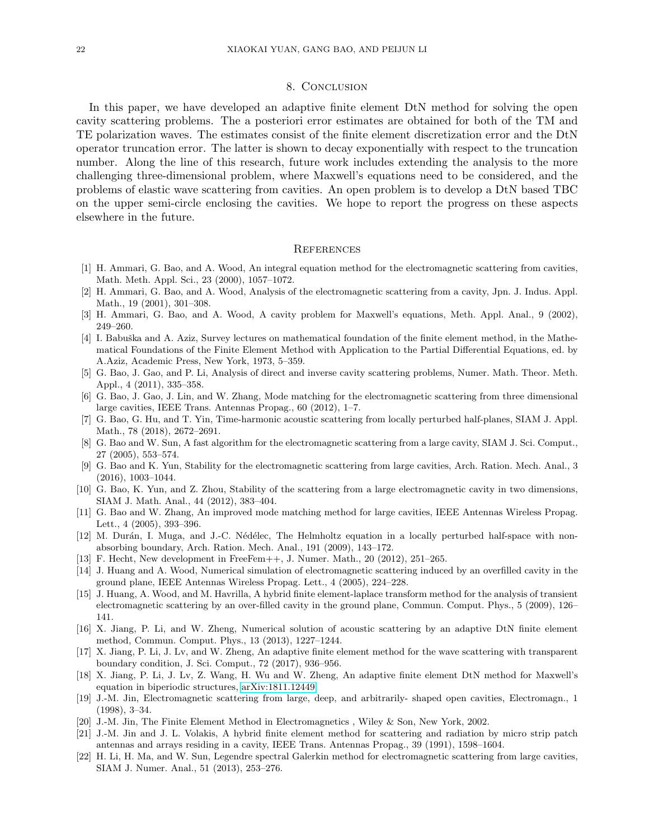# 8. Conclusion

<span id="page-21-17"></span>In this paper, we have developed an adaptive finite element DtN method for solving the open cavity scattering problems. The a posteriori error estimates are obtained for both of the TM and TE polarization waves. The estimates consist of the finite element discretization error and the DtN operator truncation error. The latter is shown to decay exponentially with respect to the truncation number. Along the line of this research, future work includes extending the analysis to the more challenging three-dimensional problem, where Maxwell's equations need to be considered, and the problems of elastic wave scattering from cavities. An open problem is to develop a DtN based TBC on the upper semi-circle enclosing the cavities. We hope to report the progress on these aspects elsewhere in the future.

#### **REFERENCES**

- <span id="page-21-2"></span>[1] H. Ammari, G. Bao, and A. Wood, An integral equation method for the electromagnetic scattering from cavities, Math. Meth. Appl. Sci., 23 (2000), 1057–1072.
- [2] H. Ammari, G. Bao, and A. Wood, Analysis of the electromagnetic scattering from a cavity, Jpn. J. Indus. Appl. Math., 19 (2001), 301–308.
- <span id="page-21-3"></span>[3] H. Ammari, G. Bao, and A. Wood, A cavity problem for Maxwell's equations, Meth. Appl. Anal., 9 (2002), 249–260.
- <span id="page-21-18"></span>[4] I. Babuška and A. Aziz, Survey lectures on mathematical foundation of the finite element method, in the Mathematical Foundations of the Finite Element Method with Application to the Partial Differential Equations, ed. by A.Aziz, Academic Press, New York, 1973, 5–359.
- <span id="page-21-14"></span>[5] G. Bao, J. Gao, and P. Li, Analysis of direct and inverse cavity scattering problems, Numer. Math. Theor. Meth. Appl., 4 (2011), 335–358.
- <span id="page-21-6"></span>[6] G. Bao, J. Gao, J. Lin, and W. Zhang, Mode matching for the electromagnetic scattering from three dimensional large cavities, IEEE Trans. Antennas Propag., 60 (2012), 1–7.
- <span id="page-21-12"></span>[7] G. Bao, G. Hu, and T. Yin, Time-harmonic acoustic scattering from locally perturbed half-planes, SIAM J. Appl. Math., 78 (2018), 2672–2691.
- <span id="page-21-7"></span>[8] G. Bao and W. Sun, A fast algorithm for the electromagnetic scattering from a large cavity, SIAM J. Sci. Comput., 27 (2005), 553–574.
- <span id="page-21-4"></span>[9] G. Bao and K. Yun, Stability for the electromagnetic scattering from large cavities, Arch. Ration. Mech. Anal., 3 (2016), 1003–1044.
- <span id="page-21-5"></span>[10] G. Bao, K. Yun, and Z. Zhou, Stability of the scattering from a large electromagnetic cavity in two dimensions, SIAM J. Math. Anal., 44 (2012), 383–404.
- <span id="page-21-8"></span>[11] G. Bao and W. Zhang, An improved mode matching method for large cavities, IEEE Antennas Wireless Propag. Lett., 4 (2005), 393–396.
- <span id="page-21-13"></span>[12] M. Durán, I. Muga, and J.-C. Nédélec, The Helmholtz equation in a locally perturbed half-space with nonabsorbing boundary, Arch. Ration. Mech. Anal., 191 (2009), 143–172.
- <span id="page-21-20"></span>[13] F. Hecht, New development in FreeFem++, J. Numer. Math., 20 (2012), 251–265.
- <span id="page-21-10"></span>[14] J. Huang and A. Wood, Numerical simulation of electromagnetic scattering induced by an overfilled cavity in the ground plane, IEEE Antennas Wireless Propag. Lett., 4 (2005), 224–228.
- <span id="page-21-11"></span>[15] J. Huang, A. Wood, and M. Havrilla, A hybrid finite element-laplace transform method for the analysis of transient electromagnetic scattering by an over-filled cavity in the ground plane, Commun. Comput. Phys., 5 (2009), 126– 141.
- <span id="page-21-15"></span>[16] X. Jiang, P. Li, and W. Zheng, Numerical solution of acoustic scattering by an adaptive DtN finite element method, Commun. Comput. Phys., 13 (2013), 1227–1244.
- <span id="page-21-19"></span>[17] X. Jiang, P. Li, J. Lv, and W. Zheng, An adaptive finite element method for the wave scattering with transparent boundary condition, J. Sci. Comput., 72 (2017), 936–956.
- <span id="page-21-16"></span>[18] X. Jiang, P. Li, J. Lv, Z. Wang, H. Wu and W. Zheng, An adaptive finite element DtN method for Maxwell's equation in biperiodic structures, [arXiv:1811.12449.](http://arxiv.org/abs/1811.12449)
- <span id="page-21-0"></span>[19] J.-M. Jin, Electromagnetic scattering from large, deep, and arbitrarily- shaped open cavities, Electromagn., 1 (1998), 3–34.
- <span id="page-21-21"></span>[20] J.-M. Jin, The Finite Element Method in Electromagnetics , Wiley & Son, New York, 2002.
- <span id="page-21-1"></span>[21] J.-M. Jin and J. L. Volakis, A hybrid finite element method for scattering and radiation by micro strip patch antennas and arrays residing in a cavity, IEEE Trans. Antennas Propag., 39 (1991), 1598–1604.
- <span id="page-21-9"></span>[22] H. Li, H. Ma, and W. Sun, Legendre spectral Galerkin method for electromagnetic scattering from large cavities, SIAM J. Numer. Anal., 51 (2013), 253–276.